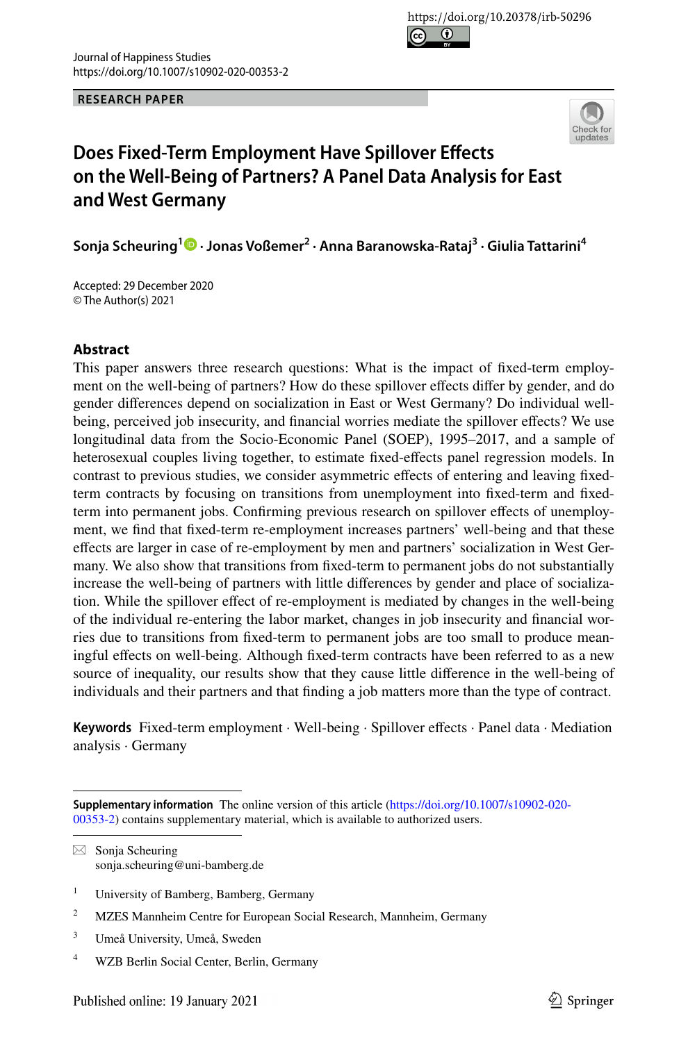**RESEARCH PAPER**



# **Does Fixed‑Term Employment Have Spillover Efects on the Well‑Being of Partners? A Panel Data Analysis for East and West Germany**

**Sonja Scheuring1  [·](http://orcid.org/0000-0001-9948-3003) Jonas Voßemer2 · Anna Baranowska‑Rataj3 · Giulia Tattarini4**

Accepted: 29 December 2020 © The Author(s) 2021

### **Abstract**

This paper answers three research questions: What is the impact of fxed-term employment on the well-being of partners? How do these spillover efects difer by gender, and do gender diferences depend on socialization in East or West Germany? Do individual wellbeing, perceived job insecurity, and fnancial worries mediate the spillover efects? We use longitudinal data from the Socio-Economic Panel (SOEP), 1995–2017, and a sample of heterosexual couples living together, to estimate fxed-efects panel regression models. In contrast to previous studies, we consider asymmetric efects of entering and leaving fxedterm contracts by focusing on transitions from unemployment into fxed-term and fxedterm into permanent jobs. Confirming previous research on spillover effects of unemployment, we fnd that fxed-term re-employment increases partners' well-being and that these efects are larger in case of re-employment by men and partners' socialization in West Germany. We also show that transitions from fxed-term to permanent jobs do not substantially increase the well-being of partners with little diferences by gender and place of socialization. While the spillover efect of re-employment is mediated by changes in the well-being of the individual re-entering the labor market, changes in job insecurity and fnancial worries due to transitions from fxed-term to permanent jobs are too small to produce meaningful effects on well-being. Although fixed-term contracts have been referred to as a new source of inequality, our results show that they cause little diference in the well-being of individuals and their partners and that fnding a job matters more than the type of contract.

**Keywords** Fixed-term employment · Well-being · Spillover efects · Panel data · Mediation analysis · Germany

 $\boxtimes$  Sonja Scheuring sonja.scheuring@uni-bamberg.de

- <sup>1</sup> University of Bamberg, Bamberg, Germany
- <sup>2</sup> MZES Mannheim Centre for European Social Research, Mannheim, Germany
- <sup>3</sup> Umeå University, Umeå, Sweden
- <sup>4</sup> WZB Berlin Social Center, Berlin, Germany

**Supplementary information** The online version of this article [\(https://doi.org/10.1007/s10902-020-](https://doi.org/10.1007/s10902-020-00353-2) [00353-2](https://doi.org/10.1007/s10902-020-00353-2)) contains supplementary material, which is available to authorized users.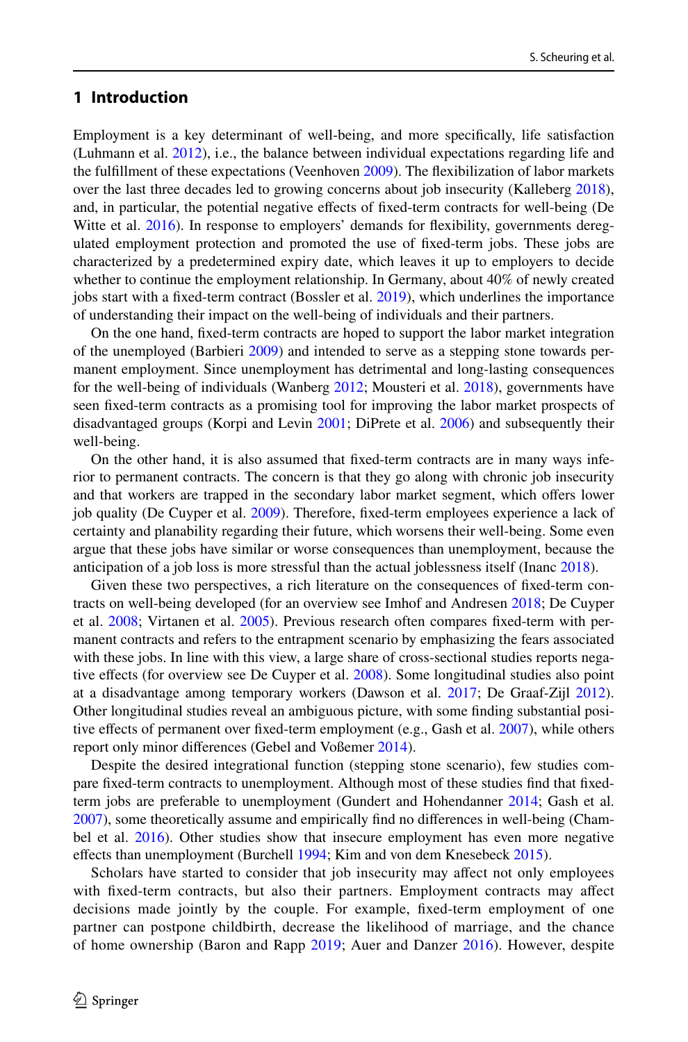# **1 Introduction**

Employment is a key determinant of well-being, and more specifcally, life satisfaction (Luhmann et al. [2012](#page-19-0)), i.e., the balance between individual expectations regarding life and the fulfllment of these expectations (Veenhoven [2009](#page-20-0)). The fexibilization of labor markets over the last three decades led to growing concerns about job insecurity (Kalleberg [2018](#page-19-1)), and, in particular, the potential negative efects of fxed-term contracts for well-being (De Witte et al. [2016](#page-18-0)). In response to employers' demands for fexibility, governments deregulated employment protection and promoted the use of fxed-term jobs. These jobs are characterized by a predetermined expiry date, which leaves it up to employers to decide whether to continue the employment relationship. In Germany, about 40% of newly created jobs start with a fxed-term contract (Bossler et al. [2019\)](#page-18-1), which underlines the importance of understanding their impact on the well-being of individuals and their partners.

On the one hand, fxed-term contracts are hoped to support the labor market integration of the unemployed (Barbieri [2009\)](#page-17-0) and intended to serve as a stepping stone towards permanent employment. Since unemployment has detrimental and long-lasting consequences for the well-being of individuals (Wanberg [2012](#page-20-1); Mousteri et al. [2018](#page-19-2)), governments have seen fxed-term contracts as a promising tool for improving the labor market prospects of disadvantaged groups (Korpi and Levin [2001;](#page-19-3) DiPrete et al. [2006](#page-18-2)) and subsequently their well-being.

On the other hand, it is also assumed that fxed-term contracts are in many ways inferior to permanent contracts. The concern is that they go along with chronic job insecurity and that workers are trapped in the secondary labor market segment, which ofers lower job quality (De Cuyper et al. [2009](#page-18-3)). Therefore, fxed-term employees experience a lack of certainty and planability regarding their future, which worsens their well-being. Some even argue that these jobs have similar or worse consequences than unemployment, because the anticipation of a job loss is more stressful than the actual joblessness itself (Inanc [2018](#page-19-4)).

Given these two perspectives, a rich literature on the consequences of fxed-term contracts on well-being developed (for an overview see Imhof and Andresen [2018;](#page-19-5) De Cuyper et al. [2008](#page-18-4); Virtanen et al. [2005](#page-20-2)). Previous research often compares fxed-term with permanent contracts and refers to the entrapment scenario by emphasizing the fears associated with these jobs. In line with this view, a large share of cross-sectional studies reports nega-tive effects (for overview see De Cuyper et al. [2008\)](#page-18-4). Some longitudinal studies also point at a disadvantage among temporary workers (Dawson et al. [2017;](#page-18-5) De Graaf-Zijl [2012](#page-18-6)). Other longitudinal studies reveal an ambiguous picture, with some fnding substantial posi-tive effects of permanent over fixed-term employment (e.g., Gash et al. [2007\)](#page-18-7), while others report only minor diferences (Gebel and Voßemer [2014](#page-18-8)).

Despite the desired integrational function (stepping stone scenario), few studies compare fxed-term contracts to unemployment. Although most of these studies fnd that fxedterm jobs are preferable to unemployment (Gundert and Hohendanner [2014;](#page-19-6) Gash et al. [2007\)](#page-18-7), some theoretically assume and empirically fnd no diferences in well-being (Cham-bel et al. [2016](#page-18-9)). Other studies show that insecure employment has even more negative efects than unemployment (Burchell [1994;](#page-18-10) Kim and von dem Knesebeck [2015](#page-19-7)).

Scholars have started to consider that job insecurity may afect not only employees with fxed-term contracts, but also their partners. Employment contracts may afect decisions made jointly by the couple. For example, fxed-term employment of one partner can postpone childbirth, decrease the likelihood of marriage, and the chance of home ownership (Baron and Rapp [2019](#page-17-1); Auer and Danzer [2016](#page-17-2)). However, despite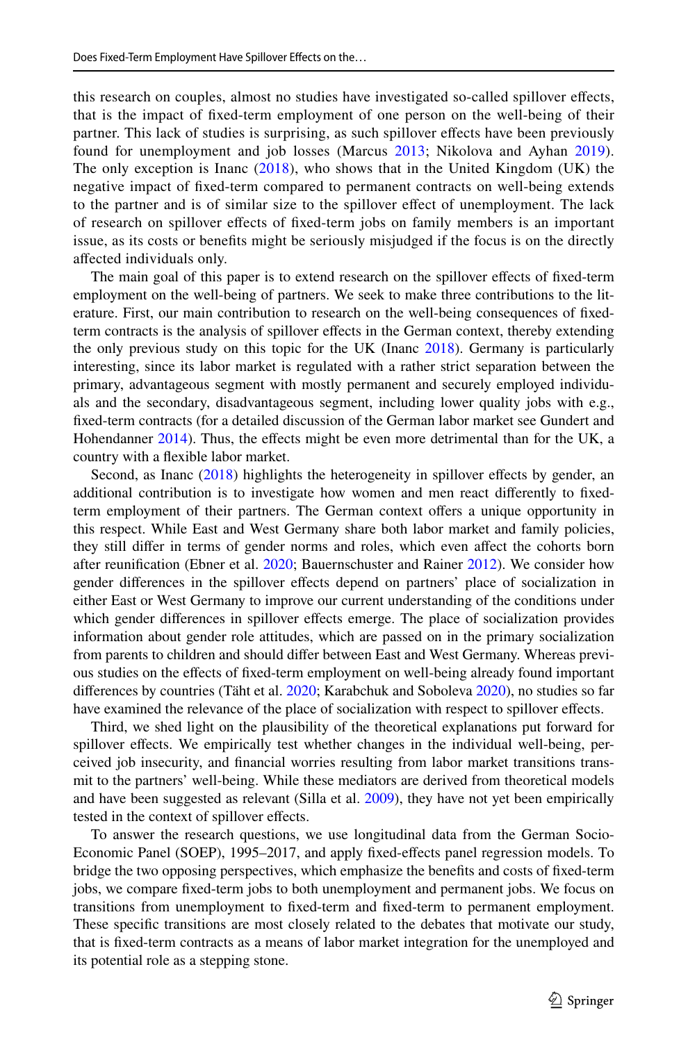this research on couples, almost no studies have investigated so-called spillover efects, that is the impact of fxed-term employment of one person on the well-being of their partner. This lack of studies is surprising, as such spillover efects have been previously found for unemployment and job losses (Marcus [2013;](#page-19-8) Nikolova and Ayhan [2019\)](#page-19-9). The only exception is Inanc  $(2018)$  $(2018)$  $(2018)$ , who shows that in the United Kingdom (UK) the negative impact of fxed-term compared to permanent contracts on well-being extends to the partner and is of similar size to the spillover efect of unemployment. The lack of research on spillover efects of fxed-term jobs on family members is an important issue, as its costs or benefts might be seriously misjudged if the focus is on the directly afected individuals only.

The main goal of this paper is to extend research on the spillover efects of fxed-term employment on the well-being of partners. We seek to make three contributions to the literature. First, our main contribution to research on the well-being consequences of fxedterm contracts is the analysis of spillover efects in the German context, thereby extending the only previous study on this topic for the UK (Inanc [2018\)](#page-19-4). Germany is particularly interesting, since its labor market is regulated with a rather strict separation between the primary, advantageous segment with mostly permanent and securely employed individuals and the secondary, disadvantageous segment, including lower quality jobs with e.g., fxed-term contracts (for a detailed discussion of the German labor market see Gundert and Hohendanner [2014\)](#page-19-6). Thus, the effects might be even more detrimental than for the UK, a country with a fexible labor market.

Second, as Inanc [\(2018](#page-19-4)) highlights the heterogeneity in spillover effects by gender, an additional contribution is to investigate how women and men react diferently to fxedterm employment of their partners. The German context ofers a unique opportunity in this respect. While East and West Germany share both labor market and family policies, they still difer in terms of gender norms and roles, which even afect the cohorts born after reunifcation (Ebner et al. [2020](#page-18-11); Bauernschuster and Rainer [2012\)](#page-17-3). We consider how gender diferences in the spillover efects depend on partners' place of socialization in either East or West Germany to improve our current understanding of the conditions under which gender diferences in spillover efects emerge. The place of socialization provides information about gender role attitudes, which are passed on in the primary socialization from parents to children and should difer between East and West Germany. Whereas previous studies on the efects of fxed-term employment on well-being already found important diferences by countries (Täht et al. [2020](#page-20-3); Karabchuk and Soboleva [2020](#page-19-10)), no studies so far have examined the relevance of the place of socialization with respect to spillover efects.

Third, we shed light on the plausibility of the theoretical explanations put forward for spillover efects. We empirically test whether changes in the individual well-being, perceived job insecurity, and fnancial worries resulting from labor market transitions transmit to the partners' well-being. While these mediators are derived from theoretical models and have been suggested as relevant (Silla et al. [2009](#page-19-11)), they have not yet been empirically tested in the context of spillover efects.

To answer the research questions, we use longitudinal data from the German Socio-Economic Panel (SOEP), 1995–2017, and apply fxed-efects panel regression models. To bridge the two opposing perspectives, which emphasize the benefts and costs of fxed-term jobs, we compare fxed-term jobs to both unemployment and permanent jobs. We focus on transitions from unemployment to fxed-term and fxed-term to permanent employment. These specifc transitions are most closely related to the debates that motivate our study, that is fxed-term contracts as a means of labor market integration for the unemployed and its potential role as a stepping stone.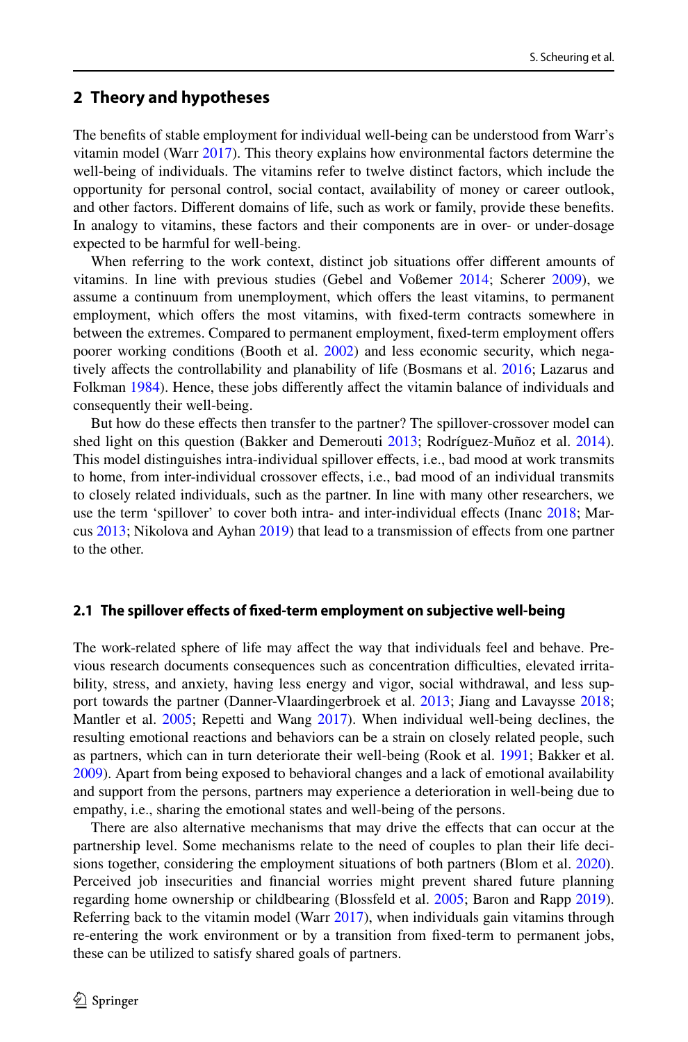# **2 Theory and hypotheses**

The benefts of stable employment for individual well-being can be understood from Warr's vitamin model (Warr [2017](#page-20-4)). This theory explains how environmental factors determine the well-being of individuals. The vitamins refer to twelve distinct factors, which include the opportunity for personal control, social contact, availability of money or career outlook, and other factors. Diferent domains of life, such as work or family, provide these benefts. In analogy to vitamins, these factors and their components are in over- or under-dosage expected to be harmful for well-being.

When referring to the work context, distinct job situations ofer diferent amounts of vitamins. In line with previous studies (Gebel and Voßemer [2014;](#page-18-8) Scherer [2009\)](#page-19-12), we assume a continuum from unemployment, which offers the least vitamins, to permanent employment, which ofers the most vitamins, with fxed-term contracts somewhere in between the extremes. Compared to permanent employment, fxed-term employment ofers poorer working conditions (Booth et al. [2002](#page-18-12)) and less economic security, which negatively afects the controllability and planability of life (Bosmans et al. [2016;](#page-18-13) Lazarus and Folkman [1984](#page-19-13)). Hence, these jobs differently affect the vitamin balance of individuals and consequently their well-being.

But how do these efects then transfer to the partner? The spillover-crossover model can shed light on this question (Bakker and Demerouti [2013;](#page-17-4) Rodríguez-Muñoz et al. [2014](#page-19-14)). This model distinguishes intra-individual spillover efects, i.e., bad mood at work transmits to home, from inter-individual crossover efects, i.e., bad mood of an individual transmits to closely related individuals, such as the partner. In line with many other researchers, we use the term 'spillover' to cover both intra- and inter-individual efects (Inanc [2018](#page-19-4); Marcus [2013;](#page-19-8) Nikolova and Ayhan [2019\)](#page-19-9) that lead to a transmission of efects from one partner to the other.

#### **2.1 The spillover efects of fxed‑term employment on subjective well‑being**

The work-related sphere of life may afect the way that individuals feel and behave. Previous research documents consequences such as concentration difculties, elevated irritability, stress, and anxiety, having less energy and vigor, social withdrawal, and less support towards the partner (Danner-Vlaardingerbroek et al. [2013;](#page-18-14) Jiang and Lavaysse [2018;](#page-19-15) Mantler et al. [2005;](#page-19-16) Repetti and Wang [2017](#page-19-17)). When individual well-being declines, the resulting emotional reactions and behaviors can be a strain on closely related people, such as partners, which can in turn deteriorate their well-being (Rook et al. [1991](#page-19-18); Bakker et al. [2009\)](#page-17-5). Apart from being exposed to behavioral changes and a lack of emotional availability and support from the persons, partners may experience a deterioration in well-being due to empathy, i.e., sharing the emotional states and well-being of the persons.

There are also alternative mechanisms that may drive the efects that can occur at the partnership level. Some mechanisms relate to the need of couples to plan their life decisions together, considering the employment situations of both partners (Blom et al. [2020](#page-17-6)). Perceived job insecurities and fnancial worries might prevent shared future planning regarding home ownership or childbearing (Blossfeld et al. [2005;](#page-18-15) Baron and Rapp [2019](#page-17-1)). Referring back to the vitamin model (Warr  $2017$ ), when individuals gain vitamins through re-entering the work environment or by a transition from fxed-term to permanent jobs, these can be utilized to satisfy shared goals of partners.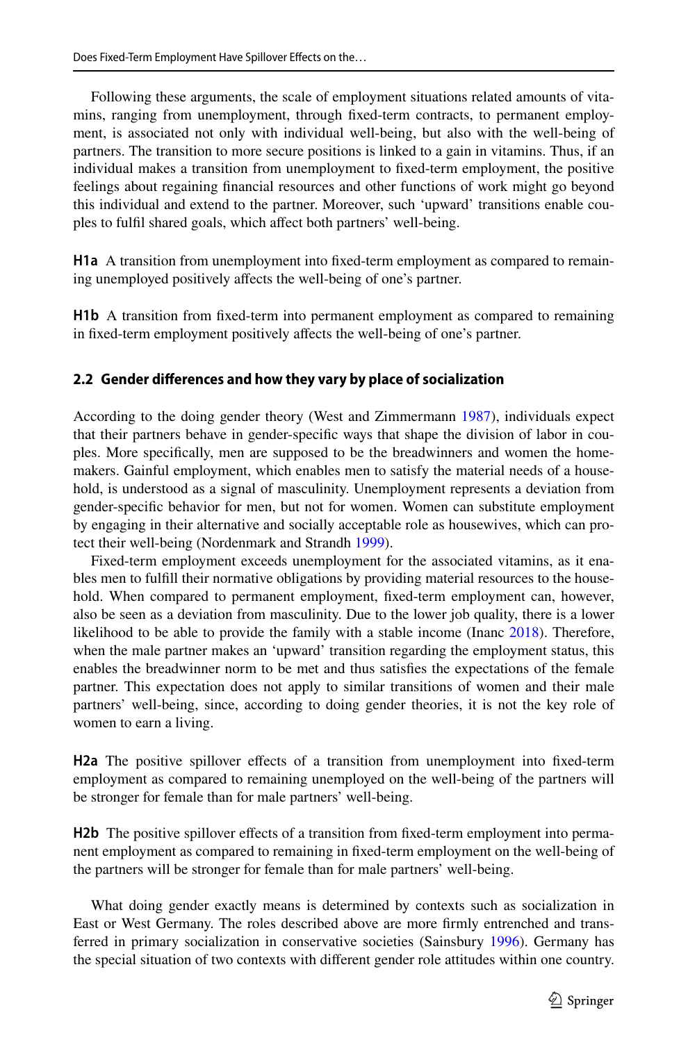Following these arguments, the scale of employment situations related amounts of vitamins, ranging from unemployment, through fxed-term contracts, to permanent employment, is associated not only with individual well-being, but also with the well-being of partners. The transition to more secure positions is linked to a gain in vitamins. Thus, if an individual makes a transition from unemployment to fxed-term employment, the positive feelings about regaining fnancial resources and other functions of work might go beyond this individual and extend to the partner. Moreover, such 'upward' transitions enable couples to fulfil shared goals, which affect both partners' well-being.

**H1a** A transition from unemployment into fxed-term employment as compared to remaining unemployed positively afects the well-being of one's partner.

**H1b** A transition from fxed-term into permanent employment as compared to remaining in fxed-term employment positively afects the well-being of one's partner.

# **2.2 Gender diferences and how they vary by place of socialization**

According to the doing gender theory (West and Zimmermann [1987\)](#page-20-5), individuals expect that their partners behave in gender-specifc ways that shape the division of labor in couples. More specifcally, men are supposed to be the breadwinners and women the homemakers. Gainful employment, which enables men to satisfy the material needs of a household, is understood as a signal of masculinity. Unemployment represents a deviation from gender-specifc behavior for men, but not for women. Women can substitute employment by engaging in their alternative and socially acceptable role as housewives, which can protect their well-being (Nordenmark and Strandh [1999\)](#page-19-19).

Fixed-term employment exceeds unemployment for the associated vitamins, as it enables men to fulfll their normative obligations by providing material resources to the household. When compared to permanent employment, fxed-term employment can, however, also be seen as a deviation from masculinity. Due to the lower job quality, there is a lower likelihood to be able to provide the family with a stable income (Inanc [2018](#page-19-4)). Therefore, when the male partner makes an 'upward' transition regarding the employment status, this enables the breadwinner norm to be met and thus satisfes the expectations of the female partner. This expectation does not apply to similar transitions of women and their male partners' well-being, since, according to doing gender theories, it is not the key role of women to earn a living.

**H2a** The positive spillover efects of a transition from unemployment into fxed-term employment as compared to remaining unemployed on the well-being of the partners will be stronger for female than for male partners' well-being.

**H2b** The positive spillover effects of a transition from fixed-term employment into permanent employment as compared to remaining in fxed-term employment on the well-being of the partners will be stronger for female than for male partners' well-being.

What doing gender exactly means is determined by contexts such as socialization in East or West Germany. The roles described above are more frmly entrenched and transferred in primary socialization in conservative societies (Sainsbury [1996\)](#page-19-20). Germany has the special situation of two contexts with diferent gender role attitudes within one country.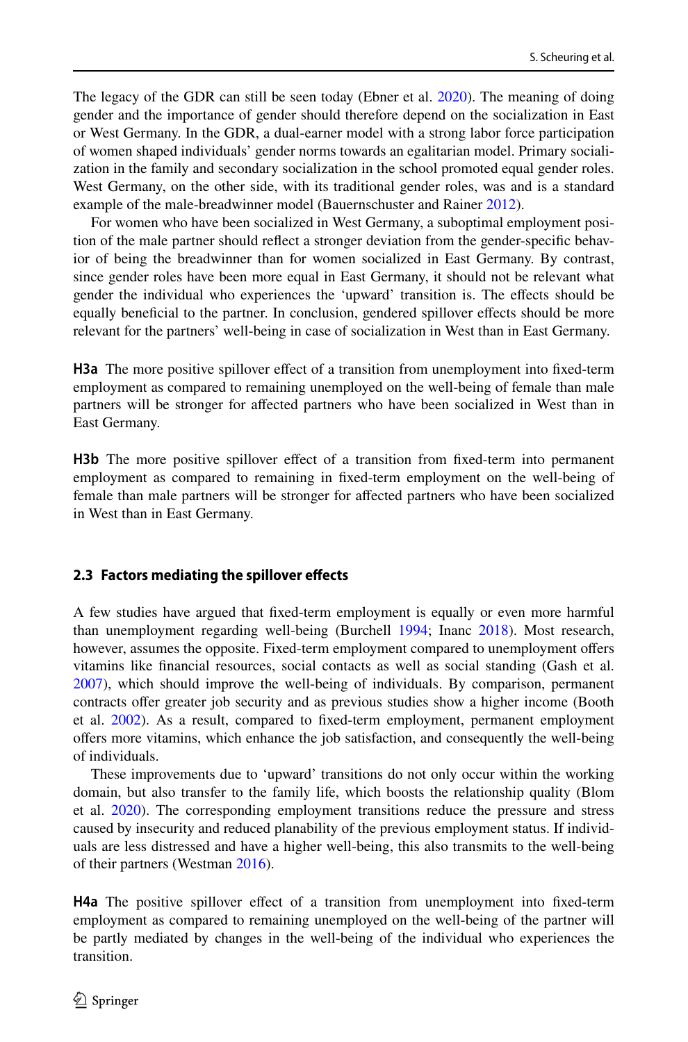The legacy of the GDR can still be seen today (Ebner et al. [2020](#page-18-11)). The meaning of doing gender and the importance of gender should therefore depend on the socialization in East or West Germany. In the GDR, a dual-earner model with a strong labor force participation of women shaped individuals' gender norms towards an egalitarian model. Primary socialization in the family and secondary socialization in the school promoted equal gender roles. West Germany, on the other side, with its traditional gender roles, was and is a standard example of the male-breadwinner model (Bauernschuster and Rainer [2012\)](#page-17-3).

For women who have been socialized in West Germany, a suboptimal employment position of the male partner should refect a stronger deviation from the gender-specifc behavior of being the breadwinner than for women socialized in East Germany. By contrast, since gender roles have been more equal in East Germany, it should not be relevant what gender the individual who experiences the 'upward' transition is. The efects should be equally benefcial to the partner. In conclusion, gendered spillover efects should be more relevant for the partners' well-being in case of socialization in West than in East Germany.

**H3a** The more positive spillover effect of a transition from unemployment into fixed-term employment as compared to remaining unemployed on the well-being of female than male partners will be stronger for afected partners who have been socialized in West than in East Germany.

H3b The more positive spillover effect of a transition from fixed-term into permanent employment as compared to remaining in fxed-term employment on the well-being of female than male partners will be stronger for afected partners who have been socialized in West than in East Germany.

### **2.3 Factors mediating the spillover efects**

A few studies have argued that fxed-term employment is equally or even more harmful than unemployment regarding well-being (Burchell [1994](#page-18-10); Inanc [2018\)](#page-19-4). Most research, however, assumes the opposite. Fixed-term employment compared to unemployment ofers vitamins like fnancial resources, social contacts as well as social standing (Gash et al. [2007\)](#page-18-7), which should improve the well-being of individuals. By comparison, permanent contracts ofer greater job security and as previous studies show a higher income (Booth et al. [2002](#page-18-12)). As a result, compared to fxed-term employment, permanent employment ofers more vitamins, which enhance the job satisfaction, and consequently the well-being of individuals.

These improvements due to 'upward' transitions do not only occur within the working domain, but also transfer to the family life, which boosts the relationship quality (Blom et al. [2020](#page-17-6)). The corresponding employment transitions reduce the pressure and stress caused by insecurity and reduced planability of the previous employment status. If individuals are less distressed and have a higher well-being, this also transmits to the well-being of their partners (Westman [2016\)](#page-20-6).

**H4a** The positive spillover efect of a transition from unemployment into fxed-term employment as compared to remaining unemployed on the well-being of the partner will be partly mediated by changes in the well-being of the individual who experiences the transition.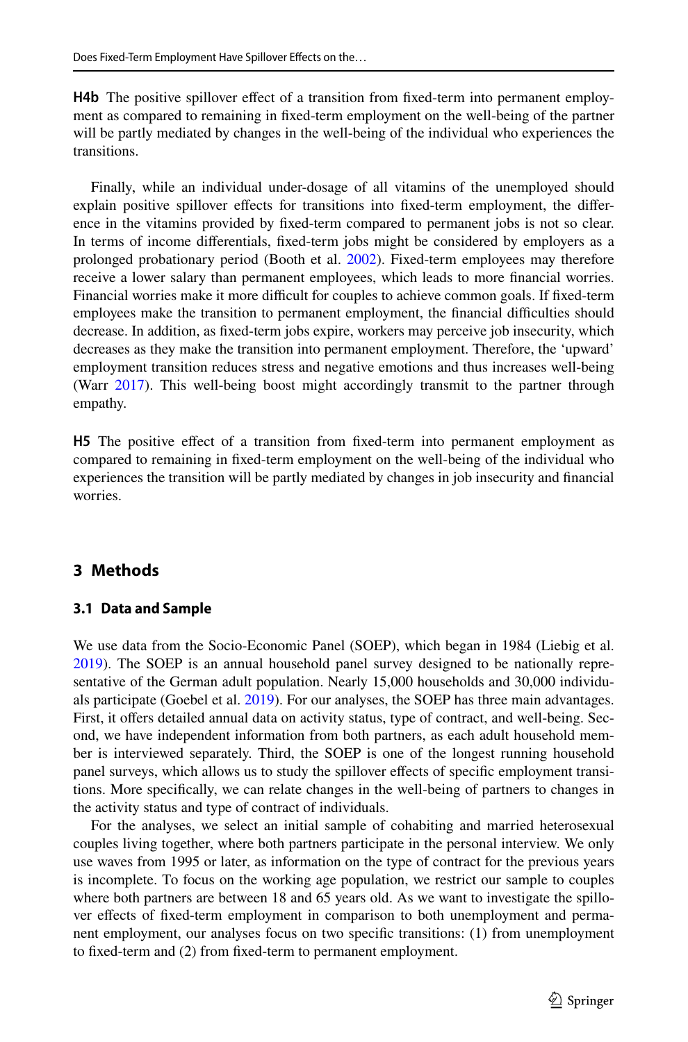**H4b** The positive spillover effect of a transition from fixed-term into permanent employment as compared to remaining in fxed-term employment on the well-being of the partner will be partly mediated by changes in the well-being of the individual who experiences the transitions.

Finally, while an individual under-dosage of all vitamins of the unemployed should explain positive spillover efects for transitions into fxed-term employment, the diference in the vitamins provided by fxed-term compared to permanent jobs is not so clear. In terms of income diferentials, fxed-term jobs might be considered by employers as a prolonged probationary period (Booth et al. [2002\)](#page-18-12). Fixed-term employees may therefore receive a lower salary than permanent employees, which leads to more fnancial worries. Financial worries make it more difficult for couples to achieve common goals. If fixed-term employees make the transition to permanent employment, the fnancial difculties should decrease. In addition, as fxed-term jobs expire, workers may perceive job insecurity, which decreases as they make the transition into permanent employment. Therefore, the 'upward' employment transition reduces stress and negative emotions and thus increases well-being (Warr [2017](#page-20-4)). This well-being boost might accordingly transmit to the partner through empathy.

H5 The positive effect of a transition from fixed-term into permanent employment as compared to remaining in fxed-term employment on the well-being of the individual who experiences the transition will be partly mediated by changes in job insecurity and fnancial worries.

# **3 Methods**

### **3.1 Data and Sample**

We use data from the Socio-Economic Panel (SOEP), which began in 1984 (Liebig et al. [2019\)](#page-19-21). The SOEP is an annual household panel survey designed to be nationally representative of the German adult population. Nearly 15,000 households and 30,000 individuals participate (Goebel et al. [2019](#page-18-16)). For our analyses, the SOEP has three main advantages. First, it offers detailed annual data on activity status, type of contract, and well-being. Second, we have independent information from both partners, as each adult household member is interviewed separately. Third, the SOEP is one of the longest running household panel surveys, which allows us to study the spillover efects of specifc employment transitions. More specifcally, we can relate changes in the well-being of partners to changes in the activity status and type of contract of individuals.

For the analyses, we select an initial sample of cohabiting and married heterosexual couples living together, where both partners participate in the personal interview. We only use waves from 1995 or later, as information on the type of contract for the previous years is incomplete. To focus on the working age population, we restrict our sample to couples where both partners are between 18 and 65 years old. As we want to investigate the spillover effects of fixed-term employment in comparison to both unemployment and permanent employment, our analyses focus on two specifc transitions: (1) from unemployment to fxed-term and (2) from fxed-term to permanent employment.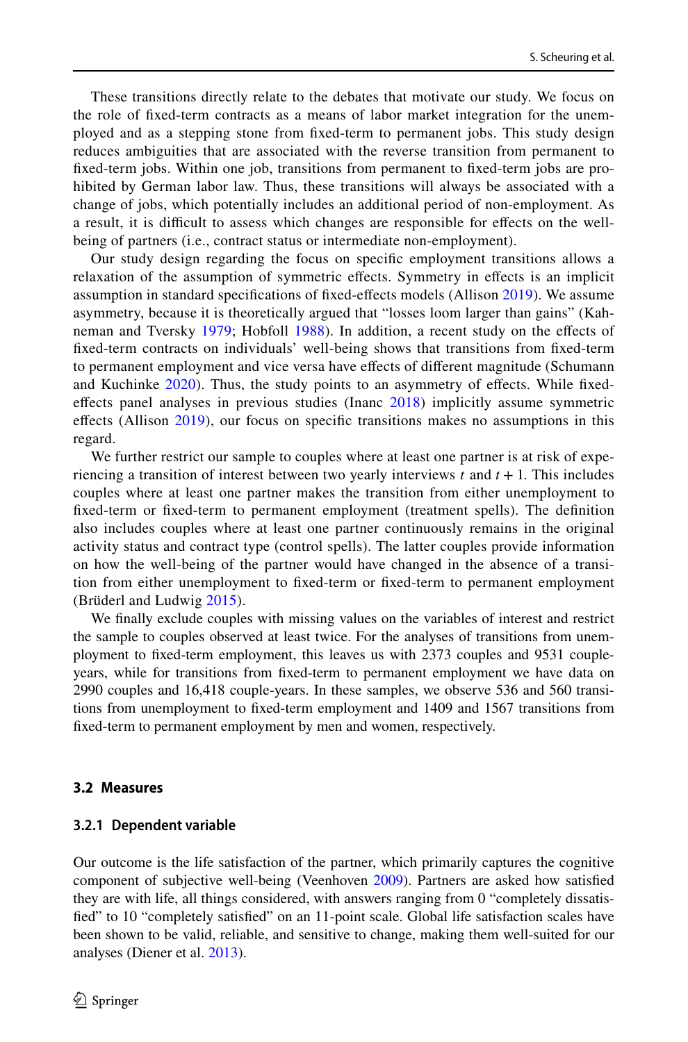These transitions directly relate to the debates that motivate our study. We focus on the role of fxed-term contracts as a means of labor market integration for the unemployed and as a stepping stone from fxed-term to permanent jobs. This study design reduces ambiguities that are associated with the reverse transition from permanent to fxed-term jobs. Within one job, transitions from permanent to fxed-term jobs are prohibited by German labor law. Thus, these transitions will always be associated with a change of jobs, which potentially includes an additional period of non-employment. As a result, it is difcult to assess which changes are responsible for efects on the wellbeing of partners (i.e., contract status or intermediate non-employment).

Our study design regarding the focus on specifc employment transitions allows a relaxation of the assumption of symmetric efects. Symmetry in efects is an implicit assumption in standard specifcations of fxed-efects models (Allison [2019\)](#page-17-7). We assume asymmetry, because it is theoretically argued that "losses loom larger than gains" (Kahneman and Tversky [1979](#page-19-22); Hobfoll [1988\)](#page-19-23). In addition, a recent study on the efects of fxed-term contracts on individuals' well-being shows that transitions from fxed-term to permanent employment and vice versa have efects of diferent magnitude (Schumann and Kuchinke [2020](#page-19-24)). Thus, the study points to an asymmetry of effects. While fixedefects panel analyses in previous studies (Inanc [2018\)](#page-19-4) implicitly assume symmetric efects (Allison [2019](#page-17-7)), our focus on specifc transitions makes no assumptions in this regard.

We further restrict our sample to couples where at least one partner is at risk of experiencing a transition of interest between two yearly interviews  $t$  and  $t + 1$ . This includes couples where at least one partner makes the transition from either unemployment to fxed-term or fxed-term to permanent employment (treatment spells). The defnition also includes couples where at least one partner continuously remains in the original activity status and contract type (control spells). The latter couples provide information on how the well-being of the partner would have changed in the absence of a transition from either unemployment to fxed-term or fxed-term to permanent employment (Brüderl and Ludwig [2015](#page-18-17)).

We fnally exclude couples with missing values on the variables of interest and restrict the sample to couples observed at least twice. For the analyses of transitions from unemployment to fxed-term employment, this leaves us with 2373 couples and 9531 coupleyears, while for transitions from fxed-term to permanent employment we have data on 2990 couples and 16,418 couple-years. In these samples, we observe 536 and 560 transitions from unemployment to fxed-term employment and 1409 and 1567 transitions from fxed-term to permanent employment by men and women, respectively.

#### **3.2 Measures**

#### **3.2.1 Dependent variable**

Our outcome is the life satisfaction of the partner, which primarily captures the cognitive component of subjective well-being (Veenhoven [2009\)](#page-20-0). Partners are asked how satisfed they are with life, all things considered, with answers ranging from 0 "completely dissatisfed" to 10 "completely satisfed" on an 11-point scale. Global life satisfaction scales have been shown to be valid, reliable, and sensitive to change, making them well-suited for our analyses (Diener et al. [2013](#page-18-18)).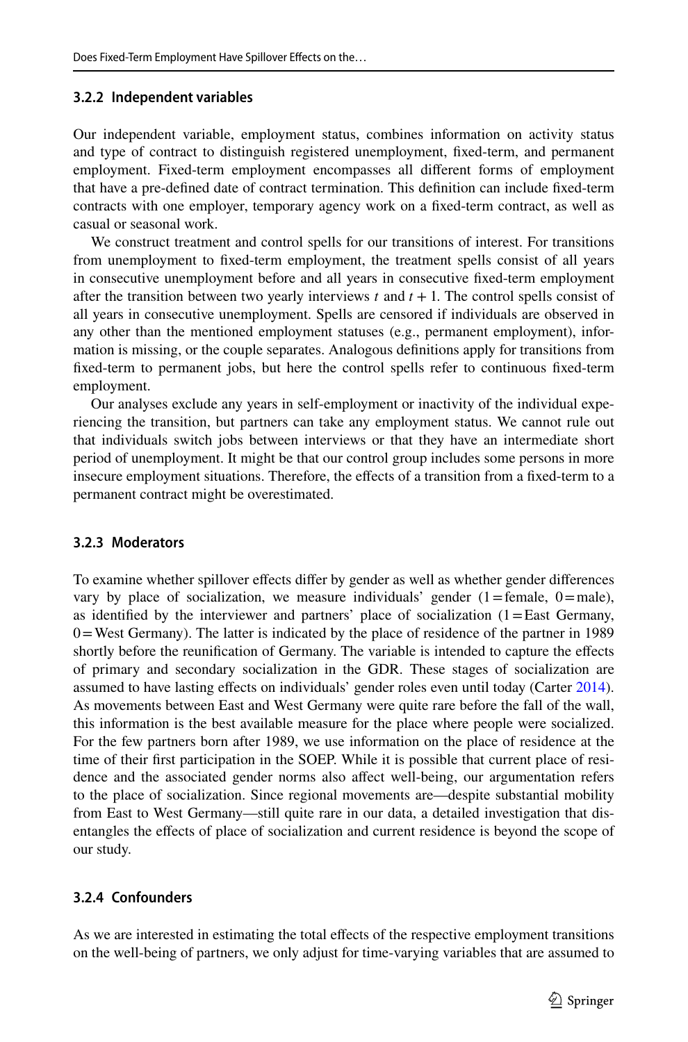## **3.2.2 Independent variables**

Our independent variable, employment status, combines information on activity status and type of contract to distinguish registered unemployment, fxed-term, and permanent employment. Fixed-term employment encompasses all diferent forms of employment that have a pre-defned date of contract termination. This defnition can include fxed-term contracts with one employer, temporary agency work on a fxed-term contract, as well as casual or seasonal work.

We construct treatment and control spells for our transitions of interest. For transitions from unemployment to fxed-term employment, the treatment spells consist of all years in consecutive unemployment before and all years in consecutive fxed-term employment after the transition between two yearly interviews  $t$  and  $t + 1$ . The control spells consist of all years in consecutive unemployment. Spells are censored if individuals are observed in any other than the mentioned employment statuses (e.g., permanent employment), information is missing, or the couple separates. Analogous defnitions apply for transitions from fxed-term to permanent jobs, but here the control spells refer to continuous fxed-term employment.

Our analyses exclude any years in self-employment or inactivity of the individual experiencing the transition, but partners can take any employment status. We cannot rule out that individuals switch jobs between interviews or that they have an intermediate short period of unemployment. It might be that our control group includes some persons in more insecure employment situations. Therefore, the efects of a transition from a fxed-term to a permanent contract might be overestimated.

# **3.2.3 Moderators**

To examine whether spillover efects difer by gender as well as whether gender diferences vary by place of socialization, we measure individuals' gender  $(1)$ =female,  $(0)$ =male), as identified by the interviewer and partners' place of socialization  $(1)$  = East Germany, 0=West Germany). The latter is indicated by the place of residence of the partner in 1989 shortly before the reunifcation of Germany. The variable is intended to capture the efects of primary and secondary socialization in the GDR. These stages of socialization are assumed to have lasting effects on individuals' gender roles even until today (Carter [2014](#page-18-19)). As movements between East and West Germany were quite rare before the fall of the wall, this information is the best available measure for the place where people were socialized. For the few partners born after 1989, we use information on the place of residence at the time of their frst participation in the SOEP. While it is possible that current place of residence and the associated gender norms also afect well-being, our argumentation refers to the place of socialization. Since regional movements are—despite substantial mobility from East to West Germany—still quite rare in our data, a detailed investigation that disentangles the efects of place of socialization and current residence is beyond the scope of our study.

# **3.2.4 Confounders**

As we are interested in estimating the total efects of the respective employment transitions on the well-being of partners, we only adjust for time-varying variables that are assumed to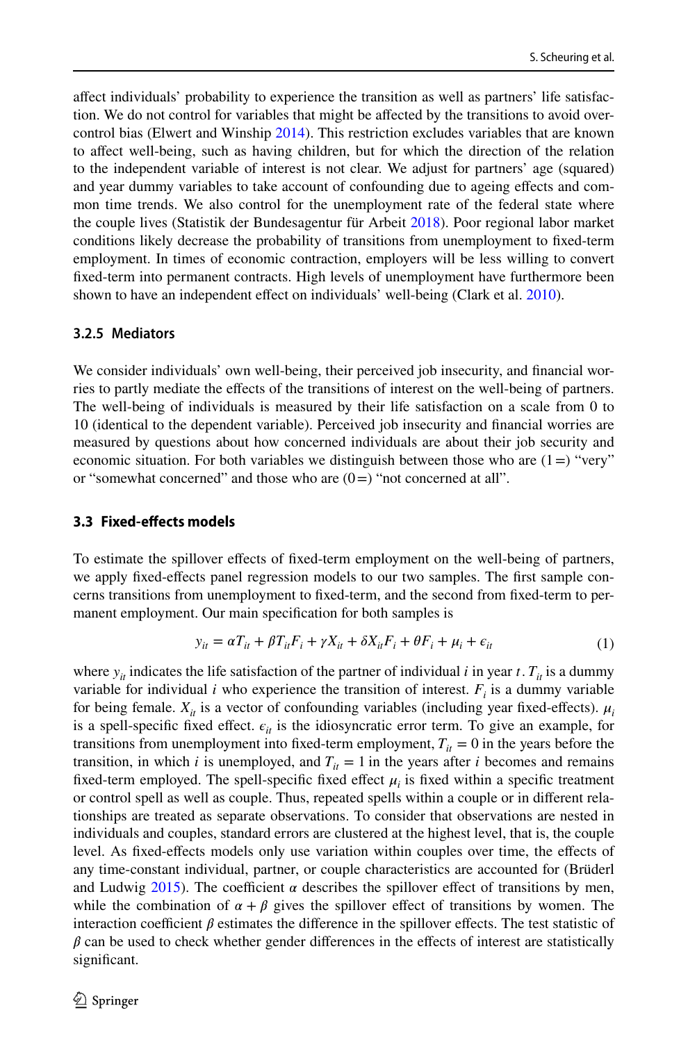afect individuals' probability to experience the transition as well as partners' life satisfaction. We do not control for variables that might be afected by the transitions to avoid overcontrol bias (Elwert and Winship [2014](#page-18-20)). This restriction excludes variables that are known to afect well-being, such as having children, but for which the direction of the relation to the independent variable of interest is not clear. We adjust for partners' age (squared) and year dummy variables to take account of confounding due to ageing efects and common time trends. We also control for the unemployment rate of the federal state where the couple lives (Statistik der Bundesagentur für Arbeit [2018](#page-19-25)). Poor regional labor market conditions likely decrease the probability of transitions from unemployment to fxed-term employment. In times of economic contraction, employers will be less willing to convert fxed-term into permanent contracts. High levels of unemployment have furthermore been shown to have an independent efect on individuals' well-being (Clark et al. [2010](#page-18-21)).

#### **3.2.5 Mediators**

We consider individuals' own well-being, their perceived job insecurity, and fnancial worries to partly mediate the efects of the transitions of interest on the well-being of partners. The well-being of individuals is measured by their life satisfaction on a scale from 0 to 10 (identical to the dependent variable). Perceived job insecurity and fnancial worries are measured by questions about how concerned individuals are about their job security and economic situation. For both variables we distinguish between those who are  $(1=)$  "very" or "somewhat concerned" and those who are  $(0=)$  "not concerned at all".

#### **3.3 Fixed‑efects models**

To estimate the spillover efects of fxed-term employment on the well-being of partners, we apply fxed-efects panel regression models to our two samples. The frst sample concerns transitions from unemployment to fxed-term, and the second from fxed-term to permanent employment. Our main specifcation for both samples is

$$
y_{it} = \alpha T_{it} + \beta T_{it} F_i + \gamma X_{it} + \delta X_{it} F_i + \theta F_i + \mu_i + \epsilon_{it}
$$
 (1)

where  $y_{it}$  indicates the life satisfaction of the partner of individual *i* in year *t*.  $T_{it}$  is a dummy variable for individual  $i$  who experience the transition of interest.  $F_i$  is a dummy variable for being female.  $X_{it}$  is a vector of confounding variables (including year fixed-effects).  $\mu_i$ is a spell-specific fixed effect.  $\epsilon_{it}$  is the idiosyncratic error term. To give an example, for transitions from unemployment into fixed-term employment,  $T_{it} = 0$  in the years before the transition, in which *i* is unemployed, and  $T_{it} = 1$  in the years after *i* becomes and remains fixed-term employed. The spell-specific fixed effect  $\mu_i$  is fixed within a specific treatment or control spell as well as couple. Thus, repeated spells within a couple or in diferent relationships are treated as separate observations. To consider that observations are nested in individuals and couples, standard errors are clustered at the highest level, that is, the couple level. As fxed-efects models only use variation within couples over time, the efects of any time-constant individual, partner, or couple characteristics are accounted for (Brüderl and Ludwig [2015\)](#page-18-17). The coefficient  $\alpha$  describes the spillover effect of transitions by men, while the combination of  $\alpha + \beta$  gives the spillover effect of transitions by women. The interaction coefficient  $\beta$  estimates the difference in the spillover effects. The test statistic of  $\beta$  can be used to check whether gender differences in the effects of interest are statistically significant.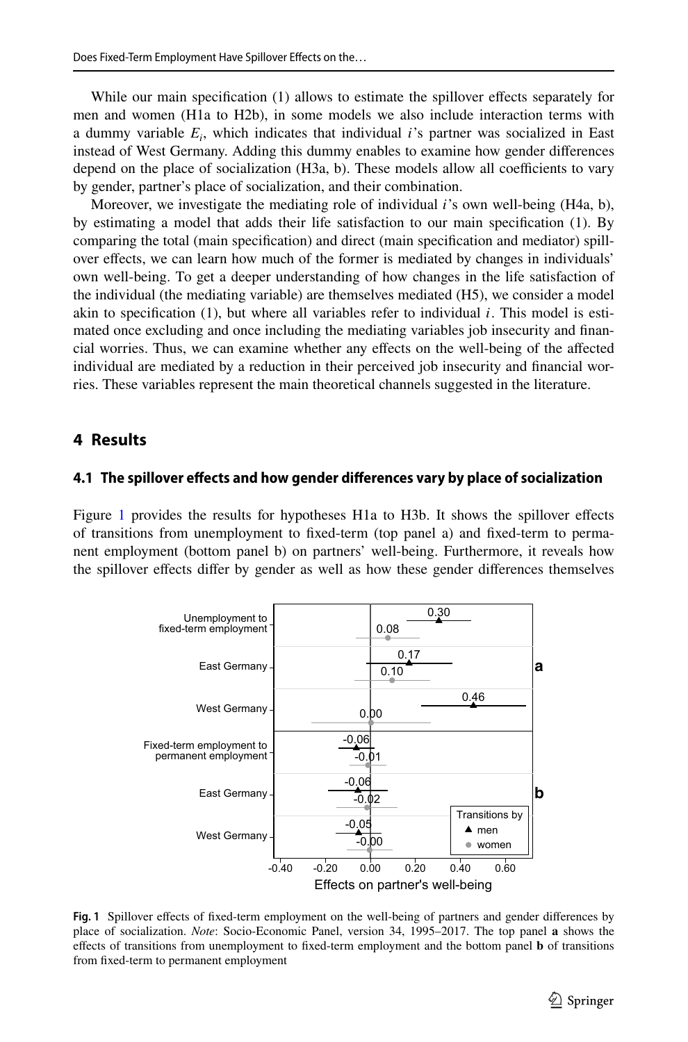While our main specification (1) allows to estimate the spillover effects separately for men and women (H1a to H2b), in some models we also include interaction terms with a dummy variable *Ei* , which indicates that individual *i*'s partner was socialized in East instead of West Germany. Adding this dummy enables to examine how gender diferences depend on the place of socialization (H3a, b). These models allow all coefficients to vary by gender, partner's place of socialization, and their combination.

Moreover, we investigate the mediating role of individual *i*'s own well-being (H4a, b), by estimating a model that adds their life satisfaction to our main specifcation (1). By comparing the total (main specifcation) and direct (main specifcation and mediator) spillover efects, we can learn how much of the former is mediated by changes in individuals' own well-being. To get a deeper understanding of how changes in the life satisfaction of the individual (the mediating variable) are themselves mediated (H5), we consider a model akin to specifcation (1), but where all variables refer to individual *i*. This model is estimated once excluding and once including the mediating variables job insecurity and fnancial worries. Thus, we can examine whether any efects on the well-being of the afected individual are mediated by a reduction in their perceived job insecurity and fnancial worries. These variables represent the main theoretical channels suggested in the literature.

# **4 Results**

### **4.1 The spillover efects and how gender diferences vary by place of socialization**

Figure [1](#page-10-0) provides the results for hypotheses H1a to H3b. It shows the spillover effects of transitions from unemployment to fxed-term (top panel a) and fxed-term to permanent employment (bottom panel b) on partners' well-being. Furthermore, it reveals how the spillover efects difer by gender as well as how these gender diferences themselves



<span id="page-10-0"></span>Fig. 1 Spillover effects of fixed-term employment on the well-being of partners and gender differences by place of socialization. *Note*: Socio-Economic Panel, version 34, 1995–2017. The top panel **a** shows the efects of transitions from unemployment to fxed-term employment and the bottom panel **b** of transitions from fxed-term to permanent employment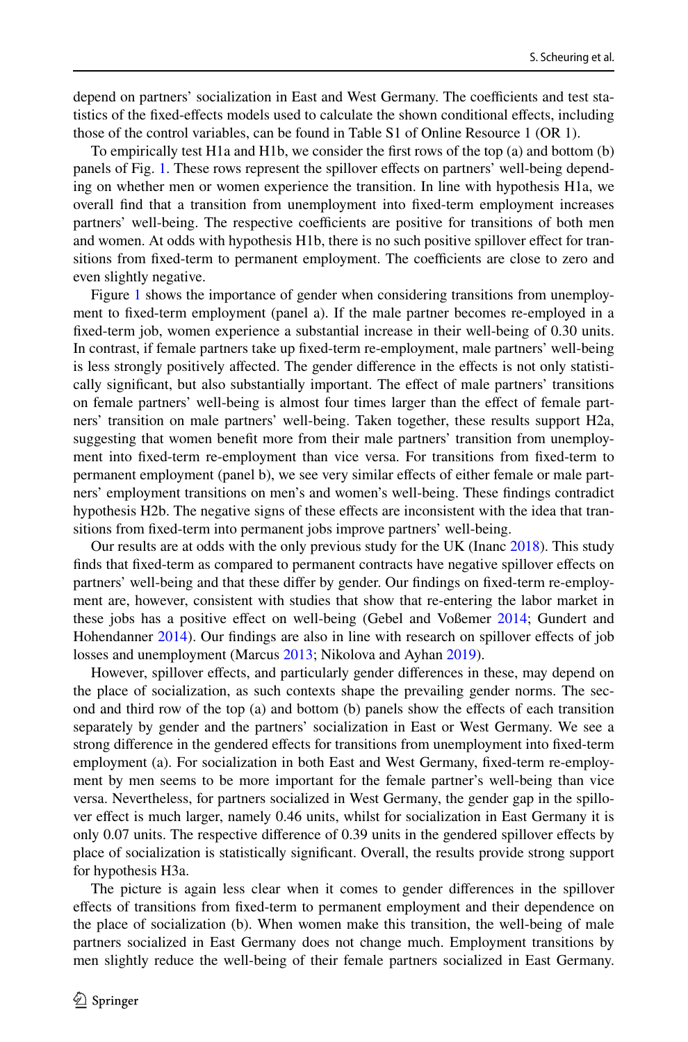depend on partners' socialization in East and West Germany. The coefficients and test statistics of the fxed-efects models used to calculate the shown conditional efects, including those of the control variables, can be found in Table S1 of Online Resource 1 (OR 1).

To empirically test H1a and H1b, we consider the frst rows of the top (a) and bottom (b) panels of Fig. [1](#page-10-0). These rows represent the spillover efects on partners' well-being depending on whether men or women experience the transition. In line with hypothesis H1a, we overall fnd that a transition from unemployment into fxed-term employment increases partners' well-being. The respective coefficients are positive for transitions of both men and women. At odds with hypothesis H1b, there is no such positive spillover efect for transitions from fixed-term to permanent employment. The coefficients are close to zero and even slightly negative.

Figure [1](#page-10-0) shows the importance of gender when considering transitions from unemployment to fxed-term employment (panel a). If the male partner becomes re-employed in a fixed-term job, women experience a substantial increase in their well-being of 0.30 units. In contrast, if female partners take up fxed-term re-employment, male partners' well-being is less strongly positively afected. The gender diference in the efects is not only statistically signifcant, but also substantially important. The efect of male partners' transitions on female partners' well-being is almost four times larger than the efect of female partners' transition on male partners' well-being. Taken together, these results support H2a, suggesting that women beneft more from their male partners' transition from unemployment into fxed-term re-employment than vice versa. For transitions from fxed-term to permanent employment (panel b), we see very similar efects of either female or male partners' employment transitions on men's and women's well-being. These fndings contradict hypothesis H2b. The negative signs of these efects are inconsistent with the idea that transitions from fxed-term into permanent jobs improve partners' well-being.

Our results are at odds with the only previous study for the UK (Inanc [2018\)](#page-19-4). This study fnds that fxed-term as compared to permanent contracts have negative spillover efects on partners' well-being and that these differ by gender. Our findings on fixed-term re-employment are, however, consistent with studies that show that re-entering the labor market in these jobs has a positive efect on well-being (Gebel and Voßemer [2014;](#page-18-8) Gundert and Hohendanner [2014\)](#page-19-6). Our fndings are also in line with research on spillover efects of job losses and unemployment (Marcus [2013](#page-19-8); Nikolova and Ayhan [2019](#page-19-9)).

However, spillover effects, and particularly gender differences in these, may depend on the place of socialization, as such contexts shape the prevailing gender norms. The second and third row of the top (a) and bottom (b) panels show the efects of each transition separately by gender and the partners' socialization in East or West Germany. We see a strong diference in the gendered efects for transitions from unemployment into fxed-term employment (a). For socialization in both East and West Germany, fxed-term re-employment by men seems to be more important for the female partner's well-being than vice versa. Nevertheless, for partners socialized in West Germany, the gender gap in the spillover efect is much larger, namely 0.46 units, whilst for socialization in East Germany it is only 0.07 units. The respective diference of 0.39 units in the gendered spillover efects by place of socialization is statistically signifcant. Overall, the results provide strong support for hypothesis H3a.

The picture is again less clear when it comes to gender diferences in the spillover efects of transitions from fxed-term to permanent employment and their dependence on the place of socialization (b). When women make this transition, the well-being of male partners socialized in East Germany does not change much. Employment transitions by men slightly reduce the well-being of their female partners socialized in East Germany.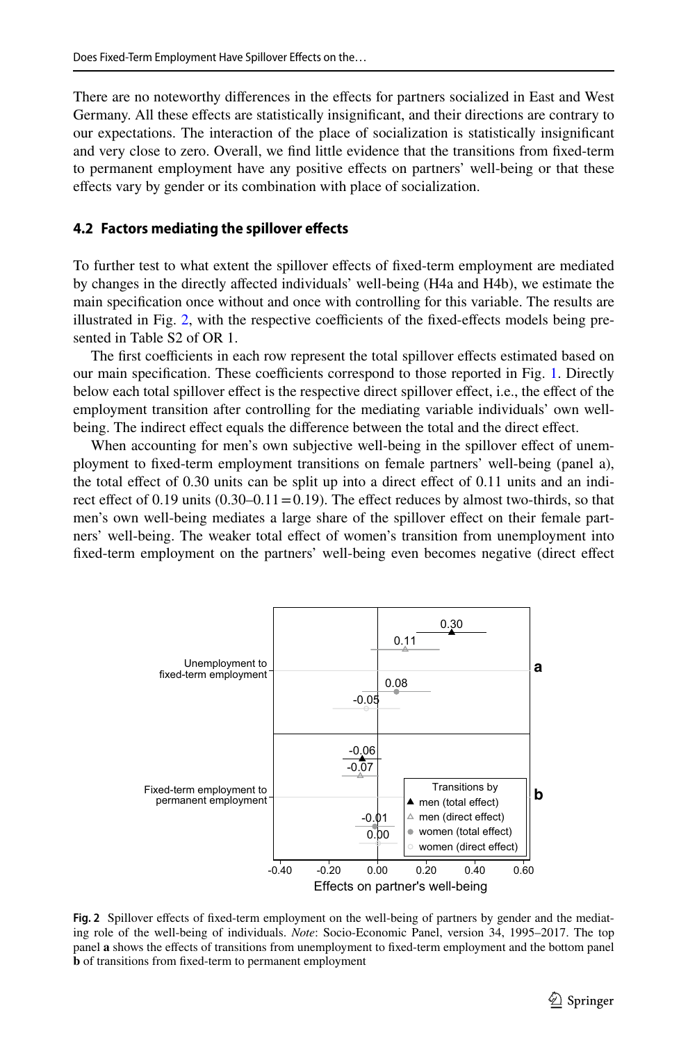There are no noteworthy diferences in the efects for partners socialized in East and West Germany. All these efects are statistically insignifcant, and their directions are contrary to our expectations. The interaction of the place of socialization is statistically insignifcant and very close to zero. Overall, we fnd little evidence that the transitions from fxed-term to permanent employment have any positive efects on partners' well-being or that these efects vary by gender or its combination with place of socialization.

#### **4.2 Factors mediating the spillover efects**

To further test to what extent the spillover efects of fxed-term employment are mediated by changes in the directly afected individuals' well-being (H4a and H4b), we estimate the main specifcation once without and once with controlling for this variable. The results are illustrated in Fig.  $2$ , with the respective coefficients of the fixed-effects models being presented in Table S<sub>2</sub> of OR<sub>1</sub>

The first coefficients in each row represent the total spillover effects estimated based on our main specification. These coefficients correspond to those reported in Fig. [1](#page-10-0). Directly below each total spillover efect is the respective direct spillover efect, i.e., the efect of the employment transition after controlling for the mediating variable individuals' own wellbeing. The indirect effect equals the difference between the total and the direct effect.

When accounting for men's own subjective well-being in the spillover effect of unemployment to fxed-term employment transitions on female partners' well-being (panel a), the total effect of 0.30 units can be split up into a direct effect of 0.11 units and an indirect effect of 0.19 units  $(0.30-0.11=0.19)$ . The effect reduces by almost two-thirds, so that men's own well-being mediates a large share of the spillover efect on their female partners' well-being. The weaker total efect of women's transition from unemployment into fxed-term employment on the partners' well-being even becomes negative (direct efect



<span id="page-12-0"></span>**Fig. 2** Spillover efects of fxed-term employment on the well-being of partners by gender and the mediating role of the well-being of individuals. *Note*: Socio-Economic Panel, version 34, 1995–2017. The top panel **a** shows the efects of transitions from unemployment to fxed-term employment and the bottom panel **b** of transitions from fxed-term to permanent employment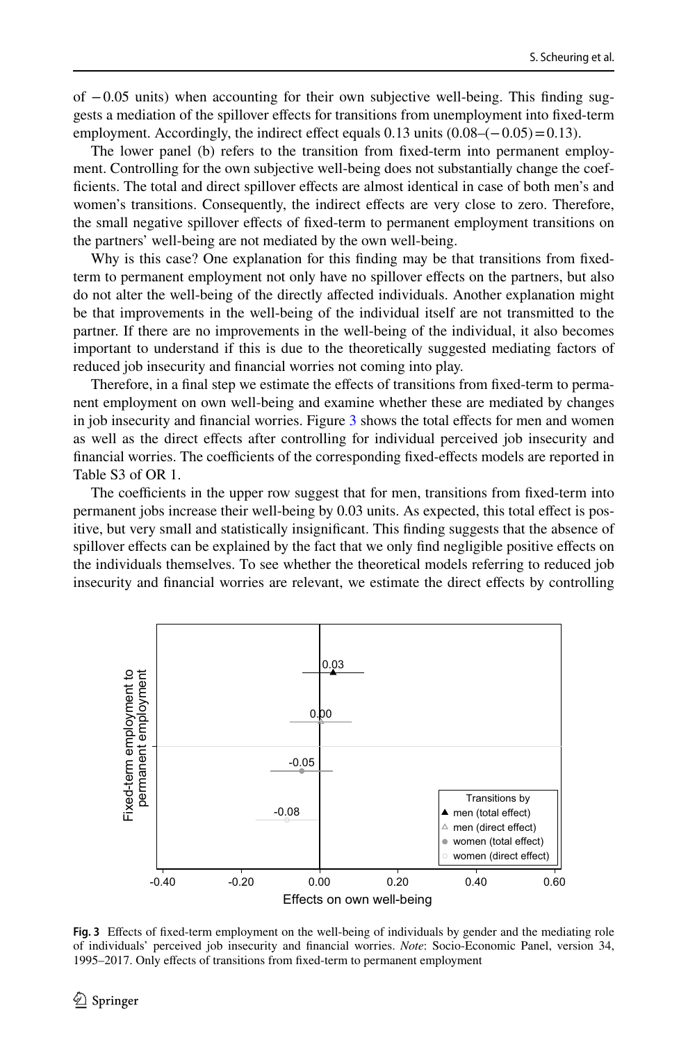of −0.05 units) when accounting for their own subjective well-being. This fnding suggests a mediation of the spillover efects for transitions from unemployment into fxed-term employment. Accordingly, the indirect effect equals  $0.13$  units  $(0.08 - (-0.05) = 0.13)$ .

The lower panel (b) refers to the transition from fxed-term into permanent employment. Controlling for the own subjective well-being does not substantially change the coeffcients. The total and direct spillover efects are almost identical in case of both men's and women's transitions. Consequently, the indirect effects are very close to zero. Therefore, the small negative spillover efects of fxed-term to permanent employment transitions on the partners' well-being are not mediated by the own well-being.

Why is this case? One explanation for this finding may be that transitions from fixedterm to permanent employment not only have no spillover efects on the partners, but also do not alter the well-being of the directly afected individuals. Another explanation might be that improvements in the well-being of the individual itself are not transmitted to the partner. If there are no improvements in the well-being of the individual, it also becomes important to understand if this is due to the theoretically suggested mediating factors of reduced job insecurity and fnancial worries not coming into play.

Therefore, in a fnal step we estimate the efects of transitions from fxed-term to permanent employment on own well-being and examine whether these are mediated by changes in job insecurity and financial worries. Figure [3](#page-13-0) shows the total effects for men and women as well as the direct efects after controlling for individual perceived job insecurity and financial worries. The coefficients of the corresponding fixed-effects models are reported in Table S3 of OR 1.

The coefficients in the upper row suggest that for men, transitions from fixed-term into permanent jobs increase their well-being by 0.03 units. As expected, this total efect is positive, but very small and statistically insignifcant. This fnding suggests that the absence of spillover effects can be explained by the fact that we only find negligible positive effects on the individuals themselves. To see whether the theoretical models referring to reduced job insecurity and fnancial worries are relevant, we estimate the direct efects by controlling



<span id="page-13-0"></span>**Fig. 3** Efects of fxed-term employment on the well-being of individuals by gender and the mediating role of individuals' perceived job insecurity and fnancial worries. *Note*: Socio-Economic Panel, version 34, 1995–2017. Only effects of transitions from fixed-term to permanent employment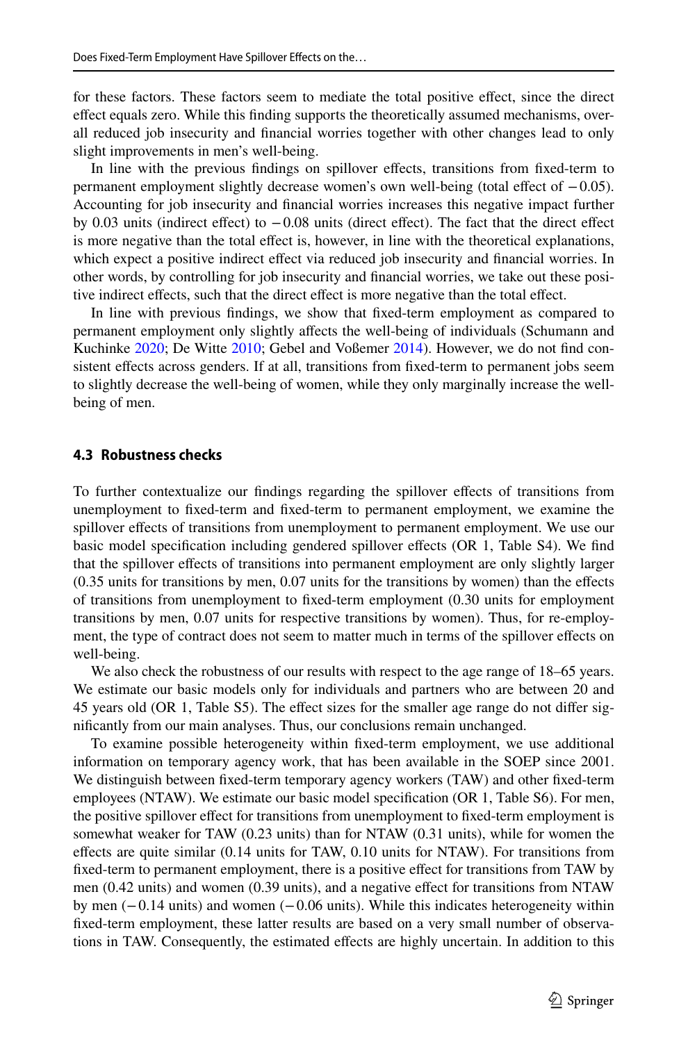for these factors. These factors seem to mediate the total positive efect, since the direct efect equals zero. While this fnding supports the theoretically assumed mechanisms, overall reduced job insecurity and fnancial worries together with other changes lead to only slight improvements in men's well-being.

In line with the previous fndings on spillover efects, transitions from fxed-term to permanent employment slightly decrease women's own well-being (total efect of −0.05). Accounting for job insecurity and fnancial worries increases this negative impact further by 0.03 units (indirect effect) to  $-0.08$  units (direct effect). The fact that the direct effect is more negative than the total efect is, however, in line with the theoretical explanations, which expect a positive indirect efect via reduced job insecurity and fnancial worries. In other words, by controlling for job insecurity and fnancial worries, we take out these positive indirect effects, such that the direct effect is more negative than the total effect.

In line with previous fndings, we show that fxed-term employment as compared to permanent employment only slightly afects the well-being of individuals (Schumann and Kuchinke [2020](#page-19-24); De Witte [2010;](#page-18-22) Gebel and Voßemer [2014](#page-18-8)). However, we do not fnd consistent effects across genders. If at all, transitions from fixed-term to permanent jobs seem to slightly decrease the well-being of women, while they only marginally increase the wellbeing of men.

#### **4.3 Robustness checks**

To further contextualize our fndings regarding the spillover efects of transitions from unemployment to fxed-term and fxed-term to permanent employment, we examine the spillover efects of transitions from unemployment to permanent employment. We use our basic model specifcation including gendered spillover efects (OR 1, Table S4). We fnd that the spillover efects of transitions into permanent employment are only slightly larger (0.35 units for transitions by men, 0.07 units for the transitions by women) than the efects of transitions from unemployment to fxed-term employment (0.30 units for employment transitions by men, 0.07 units for respective transitions by women). Thus, for re-employment, the type of contract does not seem to matter much in terms of the spillover efects on well-being.

We also check the robustness of our results with respect to the age range of 18–65 years. We estimate our basic models only for individuals and partners who are between 20 and 45 years old (OR 1, Table S5). The efect sizes for the smaller age range do not difer signifcantly from our main analyses. Thus, our conclusions remain unchanged.

To examine possible heterogeneity within fxed-term employment, we use additional information on temporary agency work, that has been available in the SOEP since 2001. We distinguish between fxed-term temporary agency workers (TAW) and other fxed-term employees (NTAW). We estimate our basic model specifcation (OR 1, Table S6). For men, the positive spillover efect for transitions from unemployment to fxed-term employment is somewhat weaker for TAW (0.23 units) than for NTAW (0.31 units), while for women the efects are quite similar (0.14 units for TAW, 0.10 units for NTAW). For transitions from fixed-term to permanent employment, there is a positive effect for transitions from TAW by men (0.42 units) and women (0.39 units), and a negative efect for transitions from NTAW by men (−0.14 units) and women (−0.06 units). While this indicates heterogeneity within fxed-term employment, these latter results are based on a very small number of observations in TAW. Consequently, the estimated efects are highly uncertain. In addition to this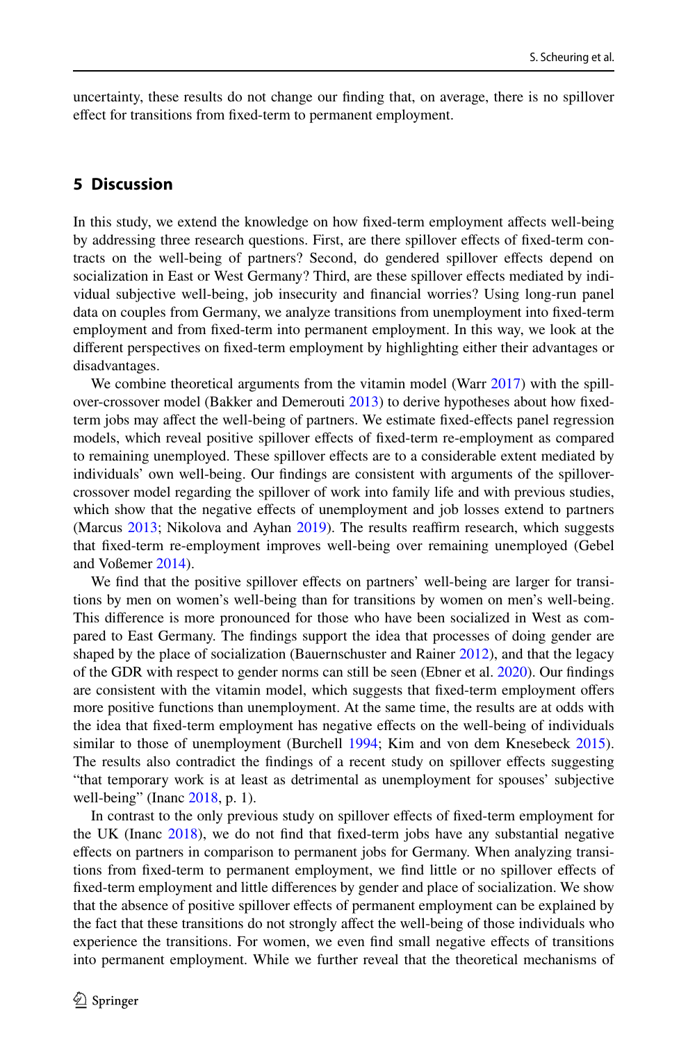uncertainty, these results do not change our fnding that, on average, there is no spillover efect for transitions from fxed-term to permanent employment.

# **5 Discussion**

In this study, we extend the knowledge on how fixed-term employment affects well-being by addressing three research questions. First, are there spillover efects of fxed-term contracts on the well-being of partners? Second, do gendered spillover efects depend on socialization in East or West Germany? Third, are these spillover efects mediated by individual subjective well-being, job insecurity and fnancial worries? Using long-run panel data on couples from Germany, we analyze transitions from unemployment into fxed-term employment and from fxed-term into permanent employment. In this way, we look at the diferent perspectives on fxed-term employment by highlighting either their advantages or disadvantages.

We combine theoretical arguments from the vitamin model (Warr [2017\)](#page-20-4) with the spillover-crossover model (Bakker and Demerouti [2013](#page-17-4)) to derive hypotheses about how fxedterm jobs may afect the well-being of partners. We estimate fxed-efects panel regression models, which reveal positive spillover effects of fixed-term re-employment as compared to remaining unemployed. These spillover effects are to a considerable extent mediated by individuals' own well-being. Our fndings are consistent with arguments of the spillovercrossover model regarding the spillover of work into family life and with previous studies, which show that the negative efects of unemployment and job losses extend to partners (Marcus [2013;](#page-19-8) Nikolova and Ayhan [2019\)](#page-19-9). The results reaffirm research, which suggests that fxed-term re-employment improves well-being over remaining unemployed (Gebel and Voßemer [2014\)](#page-18-8).

We find that the positive spillover effects on partners' well-being are larger for transitions by men on women's well-being than for transitions by women on men's well-being. This diference is more pronounced for those who have been socialized in West as compared to East Germany. The fndings support the idea that processes of doing gender are shaped by the place of socialization (Bauernschuster and Rainer [2012\)](#page-17-3), and that the legacy of the GDR with respect to gender norms can still be seen (Ebner et al. [2020\)](#page-18-11). Our fndings are consistent with the vitamin model, which suggests that fxed-term employment ofers more positive functions than unemployment. At the same time, the results are at odds with the idea that fxed-term employment has negative efects on the well-being of individuals similar to those of unemployment (Burchell [1994;](#page-18-10) Kim and von dem Knesebeck [2015](#page-19-7)). The results also contradict the fndings of a recent study on spillover efects suggesting "that temporary work is at least as detrimental as unemployment for spouses' subjective well-being" (Inanc [2018](#page-19-4), p. 1).

In contrast to the only previous study on spillover efects of fxed-term employment for the UK (Inanc [2018](#page-19-4)), we do not fnd that fxed-term jobs have any substantial negative efects on partners in comparison to permanent jobs for Germany. When analyzing transitions from fxed-term to permanent employment, we fnd little or no spillover efects of fxed-term employment and little diferences by gender and place of socialization. We show that the absence of positive spillover efects of permanent employment can be explained by the fact that these transitions do not strongly afect the well-being of those individuals who experience the transitions. For women, we even fnd small negative efects of transitions into permanent employment. While we further reveal that the theoretical mechanisms of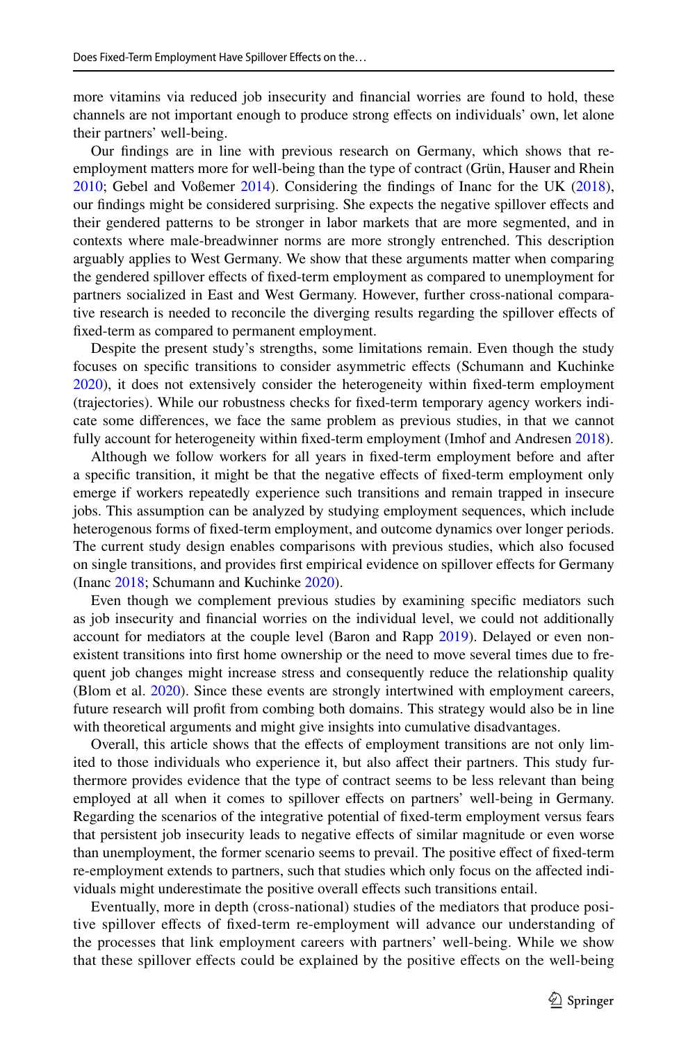more vitamins via reduced job insecurity and fnancial worries are found to hold, these channels are not important enough to produce strong efects on individuals' own, let alone their partners' well-being.

Our fndings are in line with previous research on Germany, which shows that reemployment matters more for well-being than the type of contract (Grün, Hauser and Rhein [2010;](#page-18-23) Gebel and Voßemer [2014\)](#page-18-8). Considering the fndings of Inanc for the UK [\(2018](#page-19-4)), our fndings might be considered surprising. She expects the negative spillover efects and their gendered patterns to be stronger in labor markets that are more segmented, and in contexts where male-breadwinner norms are more strongly entrenched. This description arguably applies to West Germany. We show that these arguments matter when comparing the gendered spillover efects of fxed-term employment as compared to unemployment for partners socialized in East and West Germany. However, further cross-national comparative research is needed to reconcile the diverging results regarding the spillover efects of fxed-term as compared to permanent employment.

Despite the present study's strengths, some limitations remain. Even though the study focuses on specifc transitions to consider asymmetric efects (Schumann and Kuchinke [2020\)](#page-19-24), it does not extensively consider the heterogeneity within fxed-term employment (trajectories). While our robustness checks for fxed-term temporary agency workers indicate some diferences, we face the same problem as previous studies, in that we cannot fully account for heterogeneity within fixed-term employment (Imhof and Andresen [2018\)](#page-19-5).

Although we follow workers for all years in fxed-term employment before and after a specifc transition, it might be that the negative efects of fxed-term employment only emerge if workers repeatedly experience such transitions and remain trapped in insecure jobs. This assumption can be analyzed by studying employment sequences, which include heterogenous forms of fxed-term employment, and outcome dynamics over longer periods. The current study design enables comparisons with previous studies, which also focused on single transitions, and provides frst empirical evidence on spillover efects for Germany (Inanc [2018](#page-19-4); Schumann and Kuchinke [2020\)](#page-19-24).

Even though we complement previous studies by examining specifc mediators such as job insecurity and fnancial worries on the individual level, we could not additionally account for mediators at the couple level (Baron and Rapp [2019](#page-17-1)). Delayed or even nonexistent transitions into frst home ownership or the need to move several times due to frequent job changes might increase stress and consequently reduce the relationship quality (Blom et al. [2020](#page-17-6)). Since these events are strongly intertwined with employment careers, future research will proft from combing both domains. This strategy would also be in line with theoretical arguments and might give insights into cumulative disadvantages.

Overall, this article shows that the efects of employment transitions are not only limited to those individuals who experience it, but also affect their partners. This study furthermore provides evidence that the type of contract seems to be less relevant than being employed at all when it comes to spillover efects on partners' well-being in Germany. Regarding the scenarios of the integrative potential of fxed-term employment versus fears that persistent job insecurity leads to negative efects of similar magnitude or even worse than unemployment, the former scenario seems to prevail. The positive efect of fxed-term re-employment extends to partners, such that studies which only focus on the afected individuals might underestimate the positive overall efects such transitions entail.

Eventually, more in depth (cross-national) studies of the mediators that produce positive spillover efects of fxed-term re-employment will advance our understanding of the processes that link employment careers with partners' well-being. While we show that these spillover effects could be explained by the positive effects on the well-being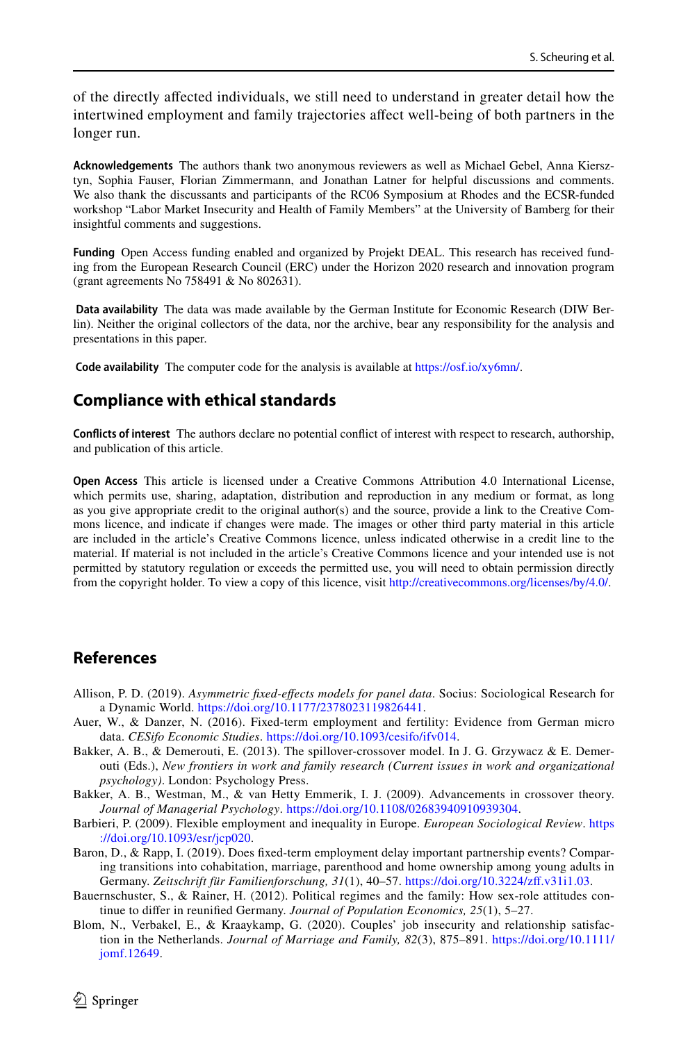of the directly afected individuals, we still need to understand in greater detail how the intertwined employment and family trajectories afect well-being of both partners in the longer run.

**Acknowledgements** The authors thank two anonymous reviewers as well as Michael Gebel, Anna Kiersztyn, Sophia Fauser, Florian Zimmermann, and Jonathan Latner for helpful discussions and comments. We also thank the discussants and participants of the RC06 Symposium at Rhodes and the ECSR-funded workshop "Labor Market Insecurity and Health of Family Members" at the University of Bamberg for their insightful comments and suggestions.

**Funding** Open Access funding enabled and organized by Projekt DEAL. This research has received funding from the European Research Council (ERC) under the Horizon 2020 research and innovation program (grant agreements No 758491 & No 802631).

 **Data availability** The data was made available by the German Institute for Economic Research (DIW Berlin). Neither the original collectors of the data, nor the archive, bear any responsibility for the analysis and presentations in this paper.

 **Code availability** The computer code for the analysis is available at<https://osf.io/xy6mn/>.

# **Compliance with ethical standards**

**Conficts of interest** The authors declare no potential confict of interest with respect to research, authorship, and publication of this article.

**Open Access** This article is licensed under a Creative Commons Attribution 4.0 International License, which permits use, sharing, adaptation, distribution and reproduction in any medium or format, as long as you give appropriate credit to the original author(s) and the source, provide a link to the Creative Commons licence, and indicate if changes were made. The images or other third party material in this article are included in the article's Creative Commons licence, unless indicated otherwise in a credit line to the material. If material is not included in the article's Creative Commons licence and your intended use is not permitted by statutory regulation or exceeds the permitted use, you will need to obtain permission directly from the copyright holder. To view a copy of this licence, visit [http://creativecommons.org/licenses/by/4.0/.](http://creativecommons.org/licenses/by/4.0/)

# **References**

- <span id="page-17-7"></span>Allison, P. D. (2019). *Asymmetric fxed-efects models for panel data*. Socius: Sociological Research for a Dynamic World.<https://doi.org/10.1177/2378023119826441>.
- <span id="page-17-2"></span>Auer, W., & Danzer, N. (2016). Fixed-term employment and fertility: Evidence from German micro data. *CESifo Economic Studies*. [https://doi.org/10.1093/cesifo/ifv014.](https://doi.org/10.1093/cesifo/ifv014)
- <span id="page-17-4"></span>Bakker, A. B., & Demerouti, E. (2013). The spillover-crossover model. In J. G. Grzywacz & E. Demerouti (Eds.), *New frontiers in work and family research (Current issues in work and organizational psychology)*. London: Psychology Press.
- <span id="page-17-5"></span>Bakker, A. B., Westman, M., & van Hetty Emmerik, I. J. (2009). Advancements in crossover theory. *Journal of Managerial Psychology*. <https://doi.org/10.1108/02683940910939304>.
- <span id="page-17-0"></span>Barbieri, P. (2009). Flexible employment and inequality in Europe. *European Sociological Review*. [https](https://doi.org/10.1093/esr/jcp020) [://doi.org/10.1093/esr/jcp020](https://doi.org/10.1093/esr/jcp020).
- <span id="page-17-1"></span>Baron, D., & Rapp, I. (2019). Does fxed-term employment delay important partnership events? Comparing transitions into cohabitation, marriage, parenthood and home ownership among young adults in Germany. *Zeitschrift für Familienforschung, 31*(1), 40–57. [https://doi.org/10.3224/zf.v31i1.03.](https://doi.org/10.3224/zff.v31i1.03)
- <span id="page-17-3"></span>Bauernschuster, S., & Rainer, H. (2012). Political regimes and the family: How sex-role attitudes continue to difer in reunifed Germany. *Journal of Population Economics, 25*(1), 5–27.
- <span id="page-17-6"></span>Blom, N., Verbakel, E., & Kraaykamp, G. (2020). Couples' job insecurity and relationship satisfaction in the Netherlands. *Journal of Marriage and Family, 82*(3), 875–891. [https://doi.org/10.1111/](https://doi.org/10.1111/jomf.12649) [jomf.12649](https://doi.org/10.1111/jomf.12649).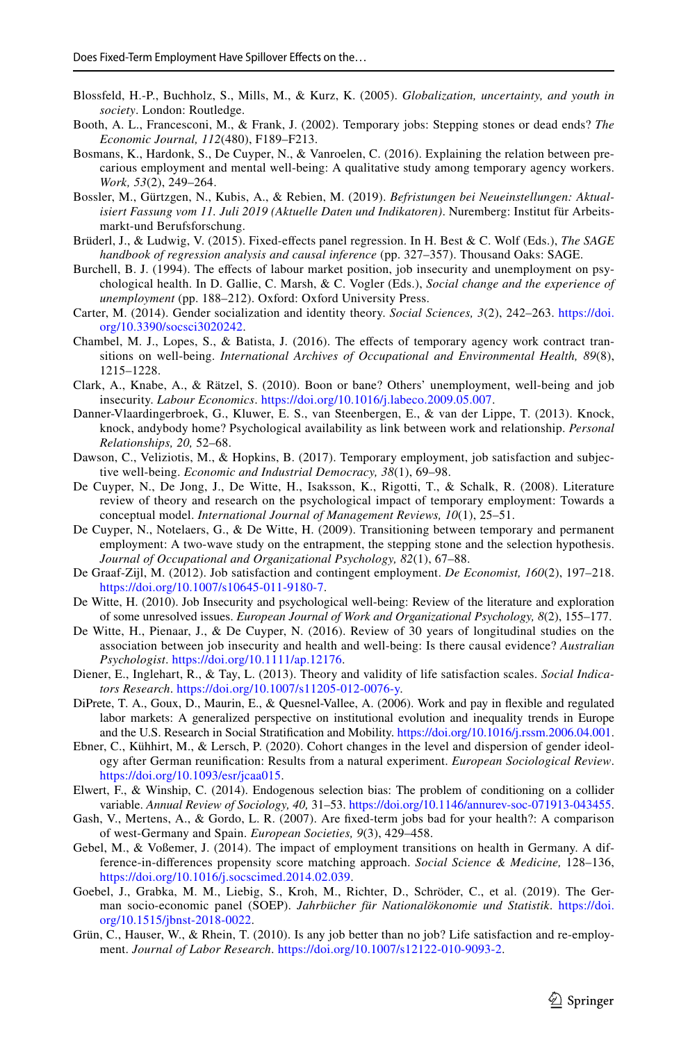- <span id="page-18-15"></span>Blossfeld, H.-P., Buchholz, S., Mills, M., & Kurz, K. (2005). *Globalization, uncertainty, and youth in society*. London: Routledge.
- <span id="page-18-12"></span>Booth, A. L., Francesconi, M., & Frank, J. (2002). Temporary jobs: Stepping stones or dead ends? *The Economic Journal, 112*(480), F189–F213.
- <span id="page-18-13"></span>Bosmans, K., Hardonk, S., De Cuyper, N., & Vanroelen, C. (2016). Explaining the relation between precarious employment and mental well-being: A qualitative study among temporary agency workers. *Work, 53*(2), 249–264.
- <span id="page-18-1"></span>Bossler, M., Gürtzgen, N., Kubis, A., & Rebien, M. (2019). *Befristungen bei Neueinstellungen: Aktualisiert Fassung vom 11. Juli 2019 (Aktuelle Daten und Indikatoren)*. Nuremberg: Institut für Arbeitsmarkt-und Berufsforschung.
- <span id="page-18-17"></span>Brüderl, J., & Ludwig, V. (2015). Fixed-efects panel regression. In H. Best & C. Wolf (Eds.), *The SAGE handbook of regression analysis and causal inference* (pp. 327–357). Thousand Oaks: SAGE.
- <span id="page-18-10"></span>Burchell, B. J. (1994). The efects of labour market position, job insecurity and unemployment on psychological health. In D. Gallie, C. Marsh, & C. Vogler (Eds.), *Social change and the experience of unemployment* (pp. 188–212). Oxford: Oxford University Press.
- <span id="page-18-19"></span>Carter, M. (2014). Gender socialization and identity theory. *Social Sciences, 3*(2), 242–263. [https://doi.](https://doi.org/10.3390/socsci3020242) [org/10.3390/socsci3020242](https://doi.org/10.3390/socsci3020242).
- <span id="page-18-9"></span>Chambel, M. J., Lopes, S., & Batista, J. (2016). The efects of temporary agency work contract transitions on well-being. *International Archives of Occupational and Environmental Health, 89*(8), 1215–1228.
- <span id="page-18-21"></span>Clark, A., Knabe, A., & Rätzel, S. (2010). Boon or bane? Others' unemployment, well-being and job insecurity. *Labour Economics*. <https://doi.org/10.1016/j.labeco.2009.05.007>.
- <span id="page-18-14"></span>Danner-Vlaardingerbroek, G., Kluwer, E. S., van Steenbergen, E., & van der Lippe, T. (2013). Knock, knock, andybody home? Psychological availability as link between work and relationship. *Personal Relationships, 20,* 52–68.
- <span id="page-18-5"></span>Dawson, C., Veliziotis, M., & Hopkins, B. (2017). Temporary employment, job satisfaction and subjective well-being. *Economic and Industrial Democracy, 38*(1), 69–98.
- <span id="page-18-4"></span>De Cuyper, N., De Jong, J., De Witte, H., Isaksson, K., Rigotti, T., & Schalk, R. (2008). Literature review of theory and research on the psychological impact of temporary employment: Towards a conceptual model. *International Journal of Management Reviews, 10*(1), 25–51.
- <span id="page-18-3"></span>De Cuyper, N., Notelaers, G., & De Witte, H. (2009). Transitioning between temporary and permanent employment: A two-wave study on the entrapment, the stepping stone and the selection hypothesis. *Journal of Occupational and Organizational Psychology, 82*(1), 67–88.
- <span id="page-18-6"></span>De Graaf-Zijl, M. (2012). Job satisfaction and contingent employment. *De Economist, 160*(2), 197–218. [https://doi.org/10.1007/s10645-011-9180-7.](https://doi.org/10.1007/s10645-011-9180-7)
- <span id="page-18-22"></span>De Witte, H. (2010). Job Insecurity and psychological well-being: Review of the literature and exploration of some unresolved issues. *European Journal of Work and Organizational Psychology, 8*(2), 155–177.
- <span id="page-18-0"></span>De Witte, H., Pienaar, J., & De Cuyper, N. (2016). Review of 30 years of longitudinal studies on the association between job insecurity and health and well-being: Is there causal evidence? *Australian Psychologist*. [https://doi.org/10.1111/ap.12176.](https://doi.org/10.1111/ap.12176)
- <span id="page-18-18"></span>Diener, E., Inglehart, R., & Tay, L. (2013). Theory and validity of life satisfaction scales. *Social Indicators Research*. [https://doi.org/10.1007/s11205-012-0076-y.](https://doi.org/10.1007/s11205-012-0076-y)
- <span id="page-18-2"></span>DiPrete, T. A., Goux, D., Maurin, E., & Quesnel-Vallee, A. (2006). Work and pay in fexible and regulated labor markets: A generalized perspective on institutional evolution and inequality trends in Europe and the U.S. Research in Social Stratifcation and Mobility. [https://doi.org/10.1016/j.rssm.2006.04.001.](https://doi.org/10.1016/j.rssm.2006.04.001)
- <span id="page-18-11"></span>Ebner, C., Kühhirt, M., & Lersch, P. (2020). Cohort changes in the level and dispersion of gender ideology after German reunifcation: Results from a natural experiment. *European Sociological Review*. [https://doi.org/10.1093/esr/jcaa015.](https://doi.org/10.1093/esr/jcaa015)
- <span id="page-18-20"></span>Elwert, F., & Winship, C. (2014). Endogenous selection bias: The problem of conditioning on a collider variable. *Annual Review of Sociology, 40,* 31–53. [https://doi.org/10.1146/annurev-soc-071913-043455.](https://doi.org/10.1146/annurev-soc-071913-043455)
- <span id="page-18-7"></span>Gash, V., Mertens, A., & Gordo, L. R. (2007). Are fxed-term jobs bad for your health?: A comparison of west-Germany and Spain. *European Societies, 9*(3), 429–458.
- <span id="page-18-8"></span>Gebel, M., & Voßemer, J. (2014). The impact of employment transitions on health in Germany. A difference-in-diferences propensity score matching approach. *Social Science & Medicine,* 128–136, <https://doi.org/10.1016/j.socscimed.2014.02.039>.
- <span id="page-18-16"></span>Goebel, J., Grabka, M. M., Liebig, S., Kroh, M., Richter, D., Schröder, C., et al. (2019). The German socio-economic panel (SOEP). *Jahrbücher für Nationalökonomie und Statistik*. [https://doi.](https://doi.org/10.1515/jbnst-2018-0022) [org/10.1515/jbnst-2018-0022.](https://doi.org/10.1515/jbnst-2018-0022)
- <span id="page-18-23"></span>Grün, C., Hauser, W., & Rhein, T. (2010). Is any job better than no job? Life satisfaction and re-employment. *Journal of Labor Research*. [https://doi.org/10.1007/s12122-010-9093-2.](https://doi.org/10.1007/s12122-010-9093-2)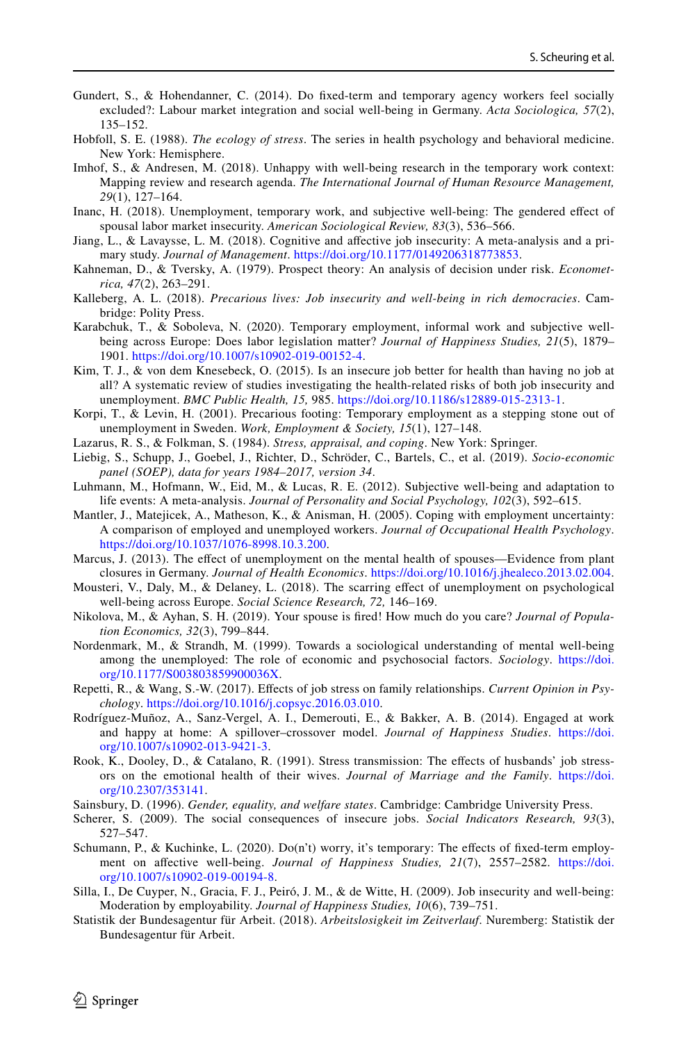- <span id="page-19-6"></span>Gundert, S., & Hohendanner, C. (2014). Do fxed-term and temporary agency workers feel socially excluded?: Labour market integration and social well-being in Germany. *Acta Sociologica, 57*(2), 135–152.
- <span id="page-19-23"></span>Hobfoll, S. E. (1988). *The ecology of stress*. The series in health psychology and behavioral medicine. New York: Hemisphere.
- <span id="page-19-5"></span>Imhof, S., & Andresen, M. (2018). Unhappy with well-being research in the temporary work context: Mapping review and research agenda. *The International Journal of Human Resource Management, 29*(1), 127–164.
- <span id="page-19-4"></span>Inanc, H. (2018). Unemployment, temporary work, and subjective well-being: The gendered efect of spousal labor market insecurity. *American Sociological Review, 83*(3), 536–566.
- <span id="page-19-15"></span>Jiang, L., & Lavaysse, L. M. (2018). Cognitive and afective job insecurity: A meta-analysis and a primary study. *Journal of Management*. [https://doi.org/10.1177/0149206318773853.](https://doi.org/10.1177/0149206318773853)
- <span id="page-19-22"></span>Kahneman, D., & Tversky, A. (1979). Prospect theory: An analysis of decision under risk. *Econometrica, 47*(2), 263–291.
- <span id="page-19-1"></span>Kalleberg, A. L. (2018). *Precarious lives: Job insecurity and well-being in rich democracies*. Cambridge: Polity Press.
- <span id="page-19-10"></span>Karabchuk, T., & Soboleva, N. (2020). Temporary employment, informal work and subjective wellbeing across Europe: Does labor legislation matter? *Journal of Happiness Studies, 21*(5), 1879– 1901. [https://doi.org/10.1007/s10902-019-00152-4.](https://doi.org/10.1007/s10902-019-00152-4)
- <span id="page-19-7"></span>Kim, T. J., & von dem Knesebeck, O. (2015). Is an insecure job better for health than having no job at all? A systematic review of studies investigating the health-related risks of both job insecurity and unemployment. *BMC Public Health, 15,* 985. [https://doi.org/10.1186/s12889-015-2313-1.](https://doi.org/10.1186/s12889-015-2313-1)
- <span id="page-19-3"></span>Korpi, T., & Levin, H. (2001). Precarious footing: Temporary employment as a stepping stone out of unemployment in Sweden. *Work, Employment & Society, 15*(1), 127–148.
- <span id="page-19-13"></span>Lazarus, R. S., & Folkman, S. (1984). *Stress, appraisal, and coping*. New York: Springer.
- <span id="page-19-21"></span>Liebig, S., Schupp, J., Goebel, J., Richter, D., Schröder, C., Bartels, C., et al. (2019). *Socio-economic panel (SOEP), data for years 1984–2017, version 34*.
- <span id="page-19-0"></span>Luhmann, M., Hofmann, W., Eid, M., & Lucas, R. E. (2012). Subjective well-being and adaptation to life events: A meta-analysis. *Journal of Personality and Social Psychology, 102*(3), 592–615.
- <span id="page-19-16"></span>Mantler, J., Matejicek, A., Matheson, K., & Anisman, H. (2005). Coping with employment uncertainty: A comparison of employed and unemployed workers. *Journal of Occupational Health Psychology*. [https://doi.org/10.1037/1076-8998.10.3.200.](https://doi.org/10.1037/1076-8998.10.3.200)
- <span id="page-19-8"></span>Marcus, J. (2013). The efect of unemployment on the mental health of spouses—Evidence from plant closures in Germany. *Journal of Health Economics*. [https://doi.org/10.1016/j.jhealeco.2013.02.004.](https://doi.org/10.1016/j.jhealeco.2013.02.004)
- <span id="page-19-2"></span>Mousteri, V., Daly, M., & Delaney, L. (2018). The scarring efect of unemployment on psychological well-being across Europe. *Social Science Research, 72,* 146–169.
- <span id="page-19-9"></span>Nikolova, M., & Ayhan, S. H. (2019). Your spouse is fred! How much do you care? *Journal of Population Economics, 32*(3), 799–844.
- <span id="page-19-19"></span>Nordenmark, M., & Strandh, M. (1999). Towards a sociological understanding of mental well-being among the unemployed: The role of economic and psychosocial factors. *Sociology*. [https://doi.](https://doi.org/10.1177/S003803859900036X) [org/10.1177/S003803859900036X](https://doi.org/10.1177/S003803859900036X).
- <span id="page-19-17"></span>Repetti, R., & Wang, S.-W. (2017). Efects of job stress on family relationships. *Current Opinion in Psychology*. [https://doi.org/10.1016/j.copsyc.2016.03.010.](https://doi.org/10.1016/j.copsyc.2016.03.010)
- <span id="page-19-14"></span>Rodríguez-Muñoz, A., Sanz-Vergel, A. I., Demerouti, E., & Bakker, A. B. (2014). Engaged at work and happy at home: A spillover–crossover model. *Journal of Happiness Studies*. [https://doi.](https://doi.org/10.1007/s10902-013-9421-3) [org/10.1007/s10902-013-9421-3](https://doi.org/10.1007/s10902-013-9421-3).
- <span id="page-19-18"></span>Rook, K., Dooley, D., & Catalano, R. (1991). Stress transmission: The effects of husbands' job stressors on the emotional health of their wives. *Journal of Marriage and the Family*. [https://doi.](https://doi.org/10.2307/353141) [org/10.2307/353141.](https://doi.org/10.2307/353141)
- <span id="page-19-20"></span>Sainsbury, D. (1996). *Gender, equality, and welfare states*. Cambridge: Cambridge University Press.
- <span id="page-19-12"></span>Scherer, S. (2009). The social consequences of insecure jobs. *Social Indicators Research, 93*(3), 527–547.
- <span id="page-19-24"></span>Schumann, P., & Kuchinke, L. (2020). Do(n't) worry, it's temporary: The effects of fixed-term employment on afective well-being. *Journal of Happiness Studies, 21*(7), 2557–2582. [https://doi.](https://doi.org/10.1007/s10902-019-00194-8) [org/10.1007/s10902-019-00194-8](https://doi.org/10.1007/s10902-019-00194-8).
- <span id="page-19-11"></span>Silla, I., De Cuyper, N., Gracia, F. J., Peiró, J. M., & de Witte, H. (2009). Job insecurity and well-being: Moderation by employability. *Journal of Happiness Studies, 10*(6), 739–751.
- <span id="page-19-25"></span>Statistik der Bundesagentur für Arbeit. (2018). *Arbeitslosigkeit im Zeitverlauf*. Nuremberg: Statistik der Bundesagentur für Arbeit.